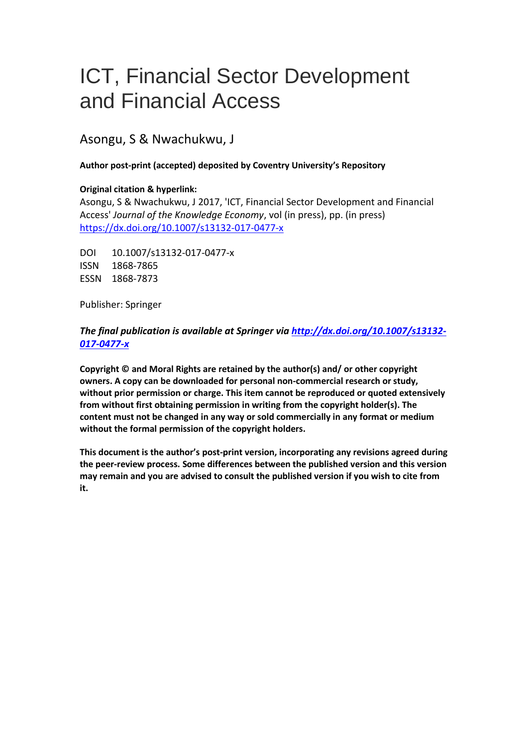# ICT, Financial Sector Development and Financial Access

Asongu, S & Nwachukwu, J

## **Author post-print (accepted) deposited by Coventry University's Repository**

## **Original citation & hyperlink:**

Asongu, S & Nwachukwu, J 2017, 'ICT, Financial Sector Development and Financial Access' *Journal of the Knowledge Economy*, vol (in press), pp. (in press) <https://dx.doi.org/10.1007/s13132-017-0477-x>

DOI 10.1007/s13132-017-0477-x ISSN 1868-7865 ESSN 1868-7873

Publisher: Springer

# *The final publication is available at Springer via [http://dx.doi.org/10.1007/s13132-](http://dx.doi.org/10.1007/s13132-017-0477-x) [017-0477-x](http://dx.doi.org/10.1007/s13132-017-0477-x)*

**Copyright © and Moral Rights are retained by the author(s) and/ or other copyright owners. A copy can be downloaded for personal non-commercial research or study, without prior permission or charge. This item cannot be reproduced or quoted extensively from without first obtaining permission in writing from the copyright holder(s). The content must not be changed in any way or sold commercially in any format or medium without the formal permission of the copyright holders.** 

**This document is the author's post-print version, incorporating any revisions agreed during the peer-review process. Some differences between the published version and this version may remain and you are advised to consult the published version if you wish to cite from it.**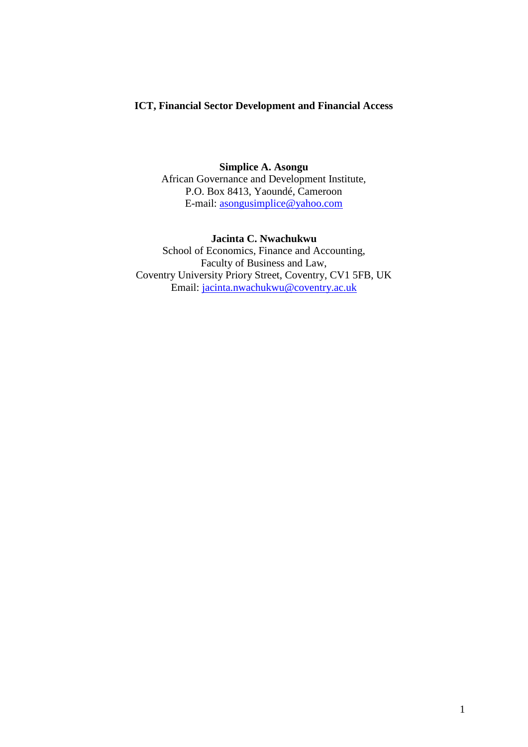# **ICT, Financial Sector Development and Financial Access**

# **Simplice A. Asongu**

African Governance and Development Institute, P.O. Box 8413, Yaoundé, Cameroon E-mail: [asongusimplice@yahoo.com](mailto:asongusimplice@yahoo.com)

# **Jacinta C. Nwachukwu**

School of Economics, Finance and Accounting, Faculty of Business and Law, Coventry University Priory Street, Coventry, CV1 5FB, UK Email: [jacinta.nwachukwu@coventry.ac.uk](mailto:jacinta.nwachukwu@coventry.ac.uk)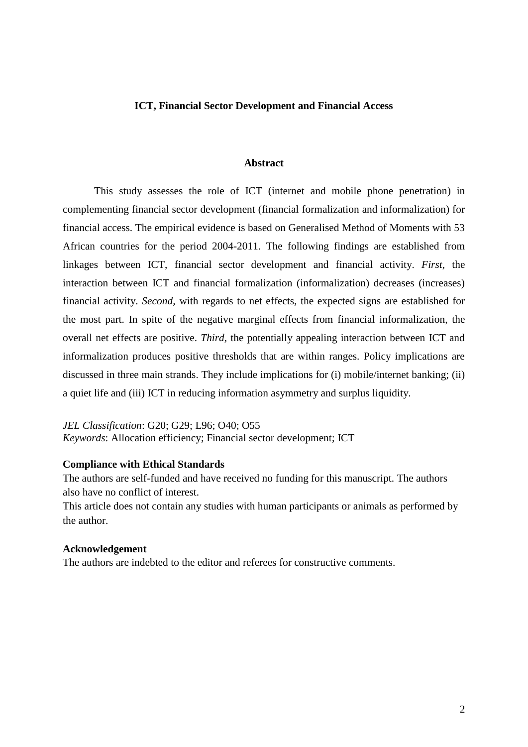## **ICT, Financial Sector Development and Financial Access**

## **Abstract**

This study assesses the role of ICT (internet and mobile phone penetration) in complementing financial sector development (financial formalization and informalization) for financial access. The empirical evidence is based on Generalised Method of Moments with 53 African countries for the period 2004-2011. The following findings are established from linkages between ICT, financial sector development and financial activity. *First*, the interaction between ICT and financial formalization (informalization) decreases (increases) financial activity. *Second,* with regards to net effects, the expected signs are established for the most part. In spite of the negative marginal effects from financial informalization, the overall net effects are positive. *Third,* the potentially appealing interaction between ICT and informalization produces positive thresholds that are within ranges. Policy implications are discussed in three main strands. They include implications for (i) mobile/internet banking; (ii) a quiet life and (iii) ICT in reducing information asymmetry and surplus liquidity.

*JEL Classification*: G20; G29; L96; O40; O55

*Keywords*: Allocation efficiency; Financial sector development; ICT

#### **Compliance with Ethical Standards**

The authors are self-funded and have received no funding for this manuscript. The authors also have no conflict of interest.

This article does not contain any studies with human participants or animals as performed by the author.

## **Acknowledgement**

The authors are indebted to the editor and referees for constructive comments.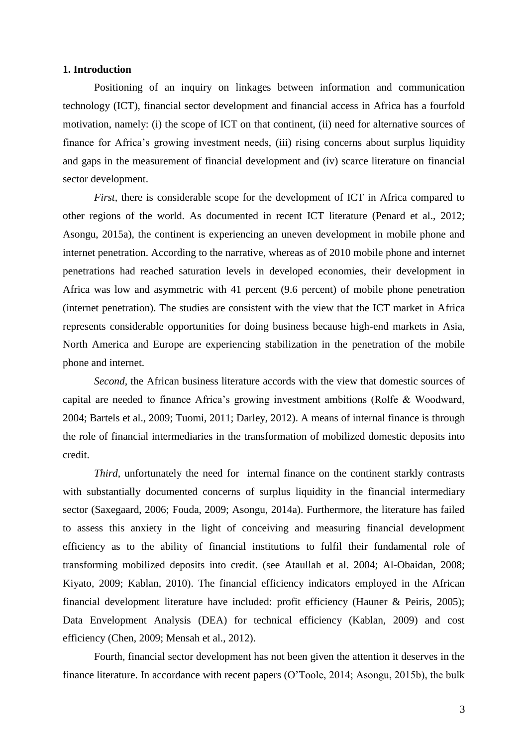#### **1. Introduction**

Positioning of an inquiry on linkages between information and communication technology (ICT), financial sector development and financial access in Africa has a fourfold motivation, namely: (i) the scope of ICT on that continent, (ii) need for alternative sources of finance for Africa's growing investment needs, (iii) rising concerns about surplus liquidity and gaps in the measurement of financial development and (iv) scarce literature on financial sector development.

*First*, there is considerable scope for the development of ICT in Africa compared to other regions of the world. As documented in recent ICT literature (Penard et al., 2012; Asongu, 2015a), the continent is experiencing an uneven development in mobile phone and internet penetration. According to the narrative, whereas as of 2010 mobile phone and internet penetrations had reached saturation levels in developed economies, their development in Africa was low and asymmetric with 41 percent (9.6 percent) of mobile phone penetration (internet penetration). The studies are consistent with the view that the ICT market in Africa represents considerable opportunities for doing business because high-end markets in Asia, North America and Europe are experiencing stabilization in the penetration of the mobile phone and internet.

*Second,* the African business literature accords with the view that domestic sources of capital are needed to finance Africa's growing investment ambitions (Rolfe & Woodward, 2004; Bartels et al., 2009; Tuomi, 2011; Darley, 2012). A means of internal finance is through the role of financial intermediaries in the transformation of mobilized domestic deposits into credit.

*Third*, unfortunately the need for internal finance on the continent starkly contrasts with substantially documented concerns of surplus liquidity in the financial intermediary sector (Saxegaard, 2006; Fouda, 2009; Asongu, 2014a). Furthermore, the literature has failed to assess this anxiety in the light of conceiving and measuring financial development efficiency as to the ability of financial institutions to fulfil their fundamental role of transforming mobilized deposits into credit. (see Ataullah et al. 2004; Al-Obaidan, 2008; Kiyato, 2009; Kablan, 2010). The financial efficiency indicators employed in the African financial development literature have included: profit efficiency (Hauner & Peiris, 2005); Data Envelopment Analysis (DEA) for technical efficiency (Kablan, 2009) and cost efficiency (Chen, 2009; Mensah et al., 2012).

Fourth, financial sector development has not been given the attention it deserves in the finance literature. In accordance with recent papers (O'Toole, 2014; Asongu, 2015b), the bulk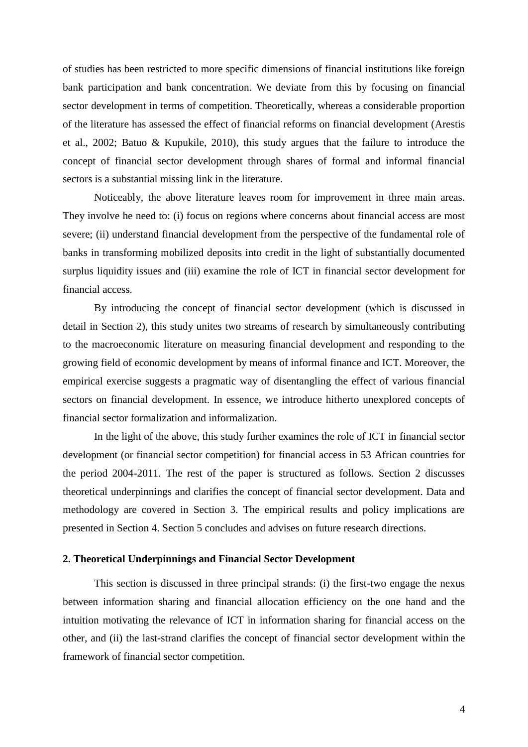of studies has been restricted to more specific dimensions of financial institutions like foreign bank participation and bank concentration. We deviate from this by focusing on financial sector development in terms of competition. Theoretically, whereas a considerable proportion of the literature has assessed the effect of financial reforms on financial development (Arestis et al., 2002; Batuo & Kupukile, 2010), this study argues that the failure to introduce the concept of financial sector development through shares of formal and informal financial sectors is a substantial missing link in the literature.

Noticeably, the above literature leaves room for improvement in three main areas. They involve he need to: (i) focus on regions where concerns about financial access are most severe; (ii) understand financial development from the perspective of the fundamental role of banks in transforming mobilized deposits into credit in the light of substantially documented surplus liquidity issues and (iii) examine the role of ICT in financial sector development for financial access.

By introducing the concept of financial sector development (which is discussed in detail in Section 2), this study unites two streams of research by simultaneously contributing to the macroeconomic literature on measuring financial development and responding to the growing field of economic development by means of informal finance and ICT. Moreover, the empirical exercise suggests a pragmatic way of disentangling the effect of various financial sectors on financial development. In essence, we introduce hitherto unexplored concepts of financial sector formalization and informalization.

In the light of the above, this study further examines the role of ICT in financial sector development (or financial sector competition) for financial access in 53 African countries for the period 2004-2011. The rest of the paper is structured as follows. Section 2 discusses theoretical underpinnings and clarifies the concept of financial sector development. Data and methodology are covered in Section 3. The empirical results and policy implications are presented in Section 4. Section 5 concludes and advises on future research directions.

#### **2. Theoretical Underpinnings and Financial Sector Development**

This section is discussed in three principal strands: (i) the first-two engage the nexus between information sharing and financial allocation efficiency on the one hand and the intuition motivating the relevance of ICT in information sharing for financial access on the other, and (ii) the last-strand clarifies the concept of financial sector development within the framework of financial sector competition.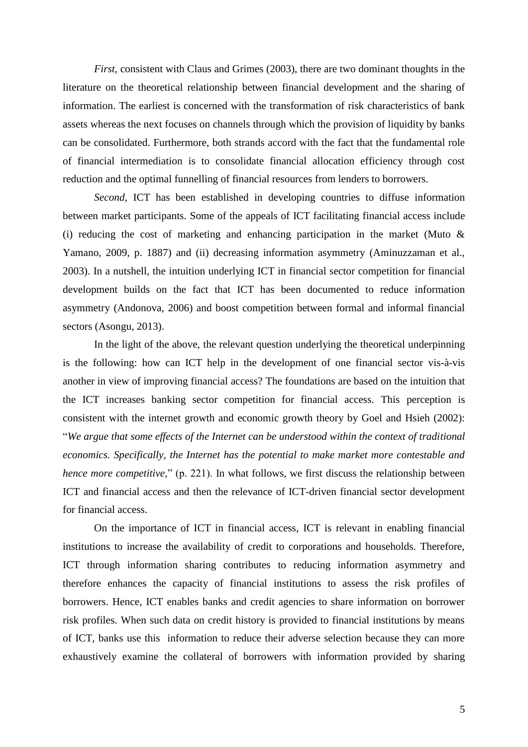*First,* consistent with Claus and Grimes (2003), there are two dominant thoughts in the literature on the theoretical relationship between financial development and the sharing of information. The earliest is concerned with the transformation of risk characteristics of bank assets whereas the next focuses on channels through which the provision of liquidity by banks can be consolidated. Furthermore, both strands accord with the fact that the fundamental role of financial intermediation is to consolidate financial allocation efficiency through cost reduction and the optimal funnelling of financial resources from lenders to borrowers.

*Second,* ICT has been established in developing countries to diffuse information between market participants. Some of the appeals of ICT facilitating financial access include (i) reducing the cost of marketing and enhancing participation in the market (Muto & Yamano, 2009, p. 1887) and (ii) decreasing information asymmetry (Aminuzzaman et al., 2003). In a nutshell, the intuition underlying ICT in financial sector competition for financial development builds on the fact that ICT has been documented to reduce information asymmetry (Andonova, 2006) and boost competition between formal and informal financial sectors (Asongu, 2013).

In the light of the above, the relevant question underlying the theoretical underpinning is the following: how can ICT help in the development of one financial sector vis-à-vis another in view of improving financial access? The foundations are based on the intuition that the ICT increases banking sector competition for financial access. This perception is consistent with the internet growth and economic growth theory by Goel and Hsieh (2002): "*We argue that some effects of the Internet can be understood within the context of traditional economics. Specifically, the Internet has the potential to make market more contestable and hence more competitive,*" (p. 221). In what follows, we first discuss the relationship between ICT and financial access and then the relevance of ICT-driven financial sector development for financial access.

On the importance of ICT in financial access, ICT is relevant in enabling financial institutions to increase the availability of credit to corporations and households. Therefore, ICT through information sharing contributes to reducing information asymmetry and therefore enhances the capacity of financial institutions to assess the risk profiles of borrowers. Hence, ICT enables banks and credit agencies to share information on borrower risk profiles. When such data on credit history is provided to financial institutions by means of ICT, banks use this information to reduce their adverse selection because they can more exhaustively examine the collateral of borrowers with information provided by sharing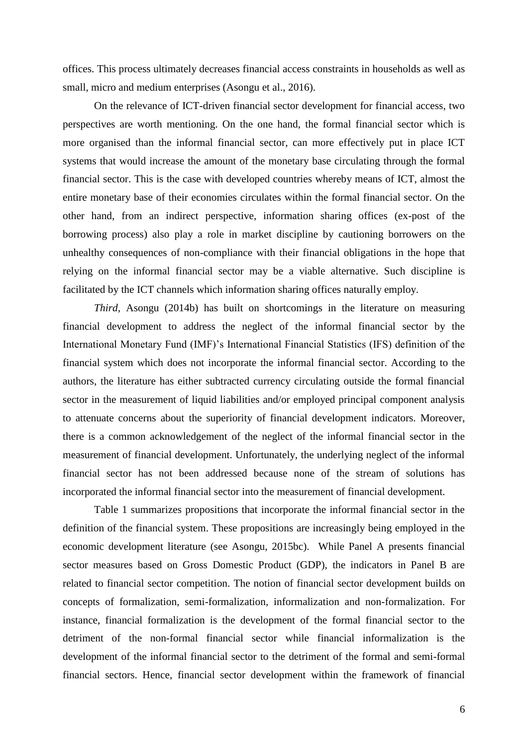offices. This process ultimately decreases financial access constraints in households as well as small, micro and medium enterprises (Asongu et al., 2016).

On the relevance of ICT-driven financial sector development for financial access, two perspectives are worth mentioning. On the one hand, the formal financial sector which is more organised than the informal financial sector, can more effectively put in place ICT systems that would increase the amount of the monetary base circulating through the formal financial sector. This is the case with developed countries whereby means of ICT, almost the entire monetary base of their economies circulates within the formal financial sector. On the other hand, from an indirect perspective, information sharing offices (ex-post of the borrowing process) also play a role in market discipline by cautioning borrowers on the unhealthy consequences of non-compliance with their financial obligations in the hope that relying on the informal financial sector may be a viable alternative. Such discipline is facilitated by the ICT channels which information sharing offices naturally employ.

*Third*, Asongu (2014b) has built on shortcomings in the literature on measuring financial development to address the neglect of the informal financial sector by the International Monetary Fund (IMF)'s International Financial Statistics (IFS) definition of the financial system which does not incorporate the informal financial sector. According to the authors, the literature has either subtracted currency circulating outside the formal financial sector in the measurement of liquid liabilities and/or employed principal component analysis to attenuate concerns about the superiority of financial development indicators. Moreover, there is a common acknowledgement of the neglect of the informal financial sector in the measurement of financial development. Unfortunately, the underlying neglect of the informal financial sector has not been addressed because none of the stream of solutions has incorporated the informal financial sector into the measurement of financial development.

Table 1 summarizes propositions that incorporate the informal financial sector in the definition of the financial system. These propositions are increasingly being employed in the economic development literature (see Asongu, 2015bc). While Panel A presents financial sector measures based on Gross Domestic Product (GDP), the indicators in Panel B are related to financial sector competition. The notion of financial sector development builds on concepts of formalization, semi-formalization, informalization and non-formalization. For instance, financial formalization is the development of the formal financial sector to the detriment of the non-formal financial sector while financial informalization is the development of the informal financial sector to the detriment of the formal and semi-formal financial sectors. Hence, financial sector development within the framework of financial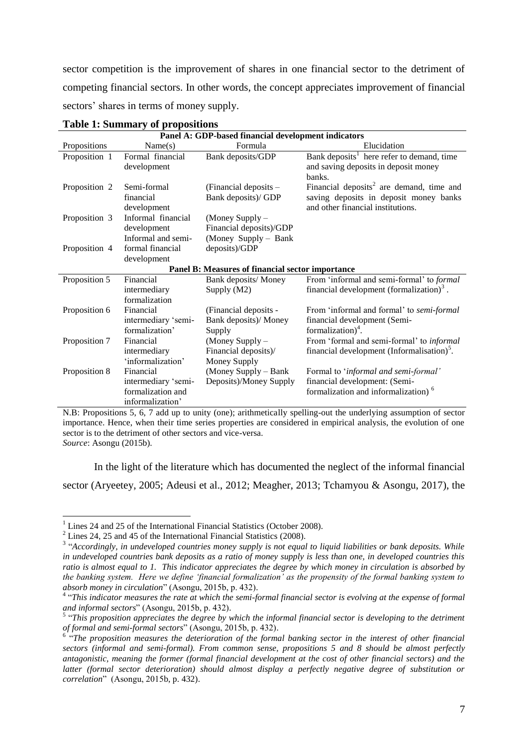sector competition is the improvement of shares in one financial sector to the detriment of competing financial sectors. In other words, the concept appreciates improvement of financial sectors' shares in terms of money supply.

|                                                  | Panel A: GDP-based financial development indicators |                         |                                                        |  |  |  |  |  |  |  |
|--------------------------------------------------|-----------------------------------------------------|-------------------------|--------------------------------------------------------|--|--|--|--|--|--|--|
| Propositions                                     | Name(s)                                             | Formula                 | Elucidation                                            |  |  |  |  |  |  |  |
| Proposition 1                                    | Formal financial                                    | Bank deposits/GDP       | Bank deposits <sup>1</sup> here refer to demand, time  |  |  |  |  |  |  |  |
|                                                  | development                                         |                         | and saving deposits in deposit money                   |  |  |  |  |  |  |  |
|                                                  |                                                     |                         | banks.                                                 |  |  |  |  |  |  |  |
| Proposition 2                                    | Semi-formal                                         | (Financial deposits -   | Financial deposits <sup>2</sup> are demand, time and   |  |  |  |  |  |  |  |
|                                                  | financial                                           | Bank deposits)/ GDP     | saving deposits in deposit money banks                 |  |  |  |  |  |  |  |
|                                                  | development                                         |                         | and other financial institutions.                      |  |  |  |  |  |  |  |
| Proposition 3                                    | Informal financial                                  | (Money Supply -         |                                                        |  |  |  |  |  |  |  |
|                                                  | development                                         | Financial deposits)/GDP |                                                        |  |  |  |  |  |  |  |
|                                                  | Informal and semi-                                  | (Money Supply - Bank    |                                                        |  |  |  |  |  |  |  |
| Proposition 4                                    | formal financial                                    | deposits)/GDP           |                                                        |  |  |  |  |  |  |  |
|                                                  | development                                         |                         |                                                        |  |  |  |  |  |  |  |
| Panel B: Measures of financial sector importance |                                                     |                         |                                                        |  |  |  |  |  |  |  |
| Proposition 5                                    | Financial                                           | Bank deposits/ Money    | From 'informal and semi-formal' to <i>formal</i>       |  |  |  |  |  |  |  |
|                                                  | intermediary                                        | Supply (M2)             | financial development (formalization) <sup>3</sup> .   |  |  |  |  |  |  |  |
|                                                  | formalization                                       |                         |                                                        |  |  |  |  |  |  |  |
| Proposition 6                                    | Financial                                           | (Financial deposits -   | From 'informal and formal' to semi-formal              |  |  |  |  |  |  |  |
|                                                  | intermediary 'semi-                                 | Bank deposits)/ Money   | financial development (Semi-                           |  |  |  |  |  |  |  |
|                                                  | formalization'                                      | Supply                  | formalization) <sup>4</sup> .                          |  |  |  |  |  |  |  |
| Proposition 7                                    | Financial                                           | (Money Supply -         | From 'formal and semi-formal' to <i>informal</i>       |  |  |  |  |  |  |  |
|                                                  | intermediary                                        | Financial deposits)/    | financial development (Informalisation) <sup>5</sup> . |  |  |  |  |  |  |  |
|                                                  | 'informalization'                                   | Money Supply            |                                                        |  |  |  |  |  |  |  |
| Proposition 8                                    | Financial                                           | (Money Supply - Bank    | Formal to 'informal and semi-formal'                   |  |  |  |  |  |  |  |
|                                                  | intermediary 'semi-                                 | Deposits)/Money Supply  | financial development: (Semi-                          |  |  |  |  |  |  |  |
|                                                  | formalization and                                   |                         | formalization and informalization) <sup>6</sup>        |  |  |  |  |  |  |  |
|                                                  | informalization'                                    |                         |                                                        |  |  |  |  |  |  |  |

**Table 1: Summary of propositions**

N.B: Propositions 5, 6, 7 add up to unity (one); arithmetically spelling-out the underlying assumption of sector importance. Hence, when their time series properties are considered in empirical analysis, the evolution of one sector is to the detriment of other sectors and vice-versa. *Source*: Asongu (2015b).

 $\overline{a}$ 

In the light of the literature which has documented the neglect of the informal financial

sector (Aryeetey, 2005; Adeusi et al., 2012; Meagher, 2013; Tchamyou & Asongu, 2017), the

 $1$  Lines 24 and 25 of the International Financial Statistics (October 2008).

 $2$  Lines 24, 25 and 45 of the International Financial Statistics (2008).

<sup>3</sup> "*Accordingly, in undeveloped countries money supply is not equal to liquid liabilities or bank deposits. While in undeveloped countries bank deposits as a ratio of money supply is less than one, in developed countries this ratio is almost equal to 1. This indicator appreciates the degree by which money in circulation is absorbed by the banking system. Here we define 'financial formalization' as the propensity of the formal banking system to absorb money in circulation*" (Asongu, 2015b, p. 432).

<sup>&</sup>lt;sup>4</sup> "This indicator measures the rate at which the semi-formal financial sector is evolving at the expense of formal *and informal sectors*" (Asongu, 2015b, p. 432).

<sup>&</sup>lt;sup>5</sup> "This proposition appreciates the degree by which the informal financial sector is developing to the detriment *of formal and semi-formal sectors*" (Asongu, 2015b, p. 432).

<sup>6</sup> "*The proposition measures the deterioration of the formal banking sector in the interest of other financial sectors (informal and semi-formal). From common sense, propositions 5 and 8 should be almost perfectly antagonistic, meaning the former (formal financial development at the cost of other financial sectors) and the latter (formal sector deterioration) should almost display a perfectly negative degree of substitution or correlation*" (Asongu, 2015b, p. 432).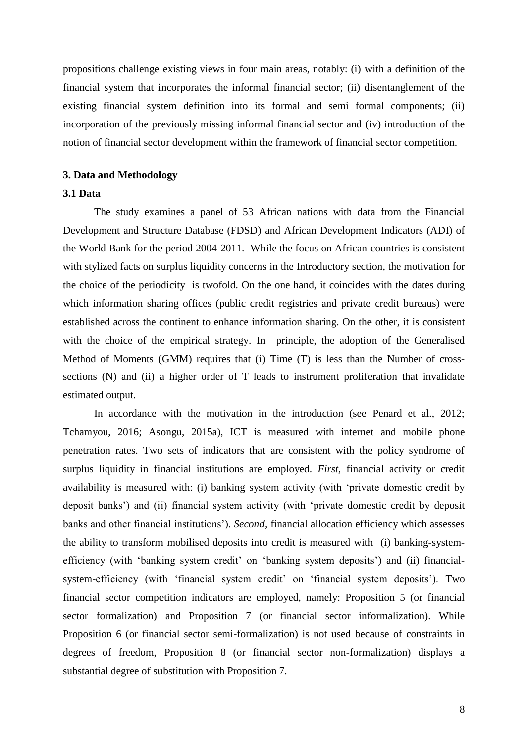propositions challenge existing views in four main areas, notably: (i) with a definition of the financial system that incorporates the informal financial sector; (ii) disentanglement of the existing financial system definition into its formal and semi formal components; (ii) incorporation of the previously missing informal financial sector and (iv) introduction of the notion of financial sector development within the framework of financial sector competition.

#### **3. Data and Methodology**

#### **3.1 Data**

The study examines a panel of 53 African nations with data from the Financial Development and Structure Database (FDSD) and African Development Indicators (ADI) of the World Bank for the period 2004-2011. While the focus on African countries is consistent with stylized facts on surplus liquidity concerns in the Introductory section, the motivation for the choice of the periodicity is twofold. On the one hand, it coincides with the dates during which information sharing offices (public credit registries and private credit bureaus) were established across the continent to enhance information sharing. On the other, it is consistent with the choice of the empirical strategy. In principle, the adoption of the Generalised Method of Moments (GMM) requires that (i) Time (T) is less than the Number of crosssections (N) and (ii) a higher order of T leads to instrument proliferation that invalidate estimated output.

In accordance with the motivation in the introduction (see Penard et al., 2012; Tchamyou, 2016; Asongu, 2015a), ICT is measured with internet and mobile phone penetration rates. Two sets of indicators that are consistent with the policy syndrome of surplus liquidity in financial institutions are employed. *First,* financial activity or credit availability is measured with: (i) banking system activity (with 'private domestic credit by deposit banks') and (ii) financial system activity (with 'private domestic credit by deposit banks and other financial institutions'). *Second,* financial allocation efficiency which assesses the ability to transform mobilised deposits into credit is measured with (i) banking-systemefficiency (with 'banking system credit' on 'banking system deposits') and (ii) financialsystem-efficiency (with 'financial system credit' on 'financial system deposits'). Two financial sector competition indicators are employed, namely: Proposition 5 (or financial sector formalization) and Proposition 7 (or financial sector informalization). While Proposition 6 (or financial sector semi-formalization) is not used because of constraints in degrees of freedom, Proposition 8 (or financial sector non-formalization) displays a substantial degree of substitution with Proposition 7.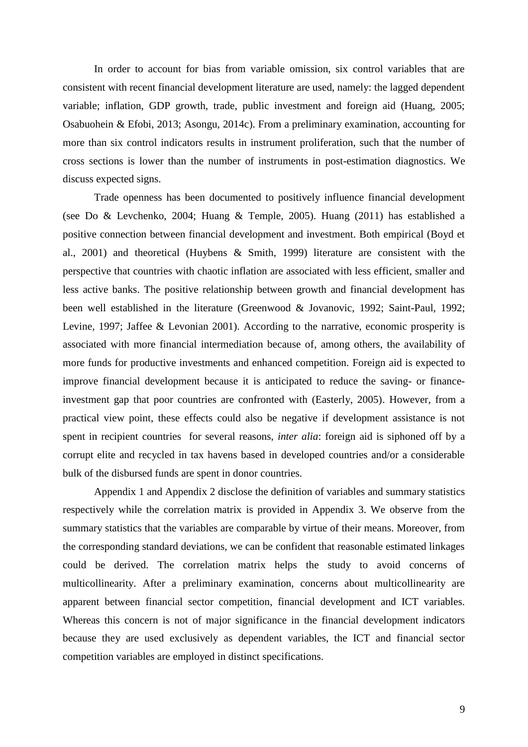In order to account for bias from variable omission, six control variables that are consistent with recent financial development literature are used, namely: the lagged dependent variable; inflation, GDP growth, trade, public investment and foreign aid (Huang, 2005; Osabuohein & Efobi, 2013; Asongu, 2014c). From a preliminary examination, accounting for more than six control indicators results in instrument proliferation, such that the number of cross sections is lower than the number of instruments in post-estimation diagnostics. We discuss expected signs.

Trade openness has been documented to positively influence financial development (see Do & Levchenko, 2004; Huang & Temple, 2005). Huang (2011) has established a positive connection between financial development and investment. Both empirical (Boyd et al., 2001) and theoretical (Huybens & Smith, 1999) literature are consistent with the perspective that countries with chaotic inflation are associated with less efficient, smaller and less active banks. The positive relationship between growth and financial development has been well established in the literature (Greenwood & Jovanovic, 1992; Saint-Paul, 1992; Levine, 1997; Jaffee & Levonian 2001). According to the narrative, economic prosperity is associated with more financial intermediation because of, among others, the availability of more funds for productive investments and enhanced competition. Foreign aid is expected to improve financial development because it is anticipated to reduce the saving- or financeinvestment gap that poor countries are confronted with (Easterly, 2005). However, from a practical view point, these effects could also be negative if development assistance is not spent in recipient countries for several reasons, *inter alia*: foreign aid is siphoned off by a corrupt elite and recycled in tax havens based in developed countries and/or a considerable bulk of the disbursed funds are spent in donor countries.

Appendix 1 and Appendix 2 disclose the definition of variables and summary statistics respectively while the correlation matrix is provided in Appendix 3. We observe from the summary statistics that the variables are comparable by virtue of their means. Moreover, from the corresponding standard deviations, we can be confident that reasonable estimated linkages could be derived. The correlation matrix helps the study to avoid concerns of multicollinearity. After a preliminary examination, concerns about multicollinearity are apparent between financial sector competition, financial development and ICT variables. Whereas this concern is not of major significance in the financial development indicators because they are used exclusively as dependent variables, the ICT and financial sector competition variables are employed in distinct specifications.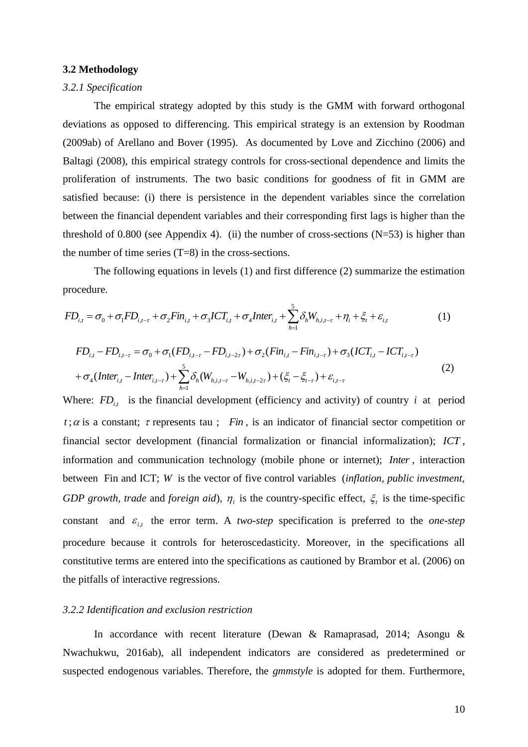#### **3.2 Methodology**

#### *3.2.1 Specification*

The empirical strategy adopted by this study is the GMM with forward orthogonal deviations as opposed to differencing. This empirical strategy is an extension by Roodman (2009ab) of Arellano and Bover (1995). As documented by Love and Zicchino (2006) and Baltagi (2008), this empirical strategy controls for cross-sectional dependence and limits the proliferation of instruments. The two basic conditions for goodness of fit in GMM are satisfied because: (i) there is persistence in the dependent variables since the correlation between the financial dependent variables and their corresponding first lags is higher than the threshold of 0.800 (see Appendix 4). (ii) the number of cross-sections  $(N=53)$  is higher than the number of time series  $(T=8)$  in the cross-sections.

The following equations in levels (1) and first difference (2) summarize the estimation procedure.

$$
FD_{i,t} = \sigma_0 + \sigma_1 FD_{i,t-\tau} + \sigma_2 Fin_{i,t} + \sigma_3 ICT_{i,t} + \sigma_4 Inter_{i,t} + \sum_{h=1}^5 \delta_h W_{h,i,t-\tau} + \eta_i + \xi_t + \varepsilon_{i,t}
$$
 (1)

$$
FD_{i,t} - FD_{i,t-\tau} = \sigma_0 + \sigma_1(FD_{i,t-\tau} - FD_{i,t-2\tau}) + \sigma_2(Fin_{i,t} - Fin_{i,t-\tau}) + \sigma_3(ICT_{i,t} - ICT_{i,t-\tau})
$$
  
+  $\sigma_4(Inter_{i,t} - Inter_{i,t-\tau}) + \sum_{h=1}^5 \delta_h(W_{h,i,t-\tau} - W_{h,i,t-2\tau}) + (\xi_t - \xi_{t-\tau}) + \varepsilon_{i,t-\tau}$  (2)

Where:  $FD_{i,t}$  is the financial development (efficiency and activity) of country *i* at period  $t; \alpha$  is a constant;  $\tau$  represents tau ; Fin, is an indicator of financial sector competition or financial sector development (financial formalization or financial informalization); *ICT* , information and communication technology (mobile phone or internet); *Inter* , interaction between Fin and ICT; *W* is the vector of five control variables (*inflation, public investment, GDP growth, trade and foreign aid),*  $\eta_i$  is the country-specific effect,  $\xi_i$  is the time-specific constant and  $\varepsilon_{i,t}$  the error term. A *two-step* specification is preferred to the *one-step* procedure because it controls for heteroscedasticity. Moreover, in the specifications all constitutive terms are entered into the specifications as cautioned by Brambor et al. (2006) on the pitfalls of interactive regressions.

#### *3.2.2 Identification and exclusion restriction*

In accordance with recent literature (Dewan & Ramaprasad, 2014; Asongu & Nwachukwu, 2016ab), all independent indicators are considered as predetermined or suspected endogenous variables. Therefore, the *gmmstyle* is adopted for them. Furthermore,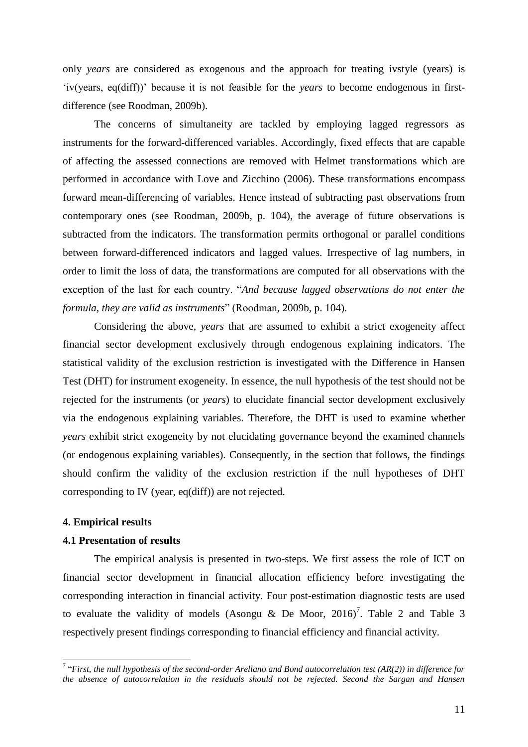only *years* are considered as exogenous and the approach for treating ivstyle (years) is 'iv(years, eq(diff))' because it is not feasible for the *years* to become endogenous in firstdifference (see Roodman, 2009b).

The concerns of simultaneity are tackled by employing lagged regressors as instruments for the forward-differenced variables. Accordingly, fixed effects that are capable of affecting the assessed connections are removed with Helmet transformations which are performed in accordance with Love and Zicchino (2006). These transformations encompass forward mean-differencing of variables. Hence instead of subtracting past observations from contemporary ones (see Roodman, 2009b, p. 104), the average of future observations is subtracted from the indicators. The transformation permits orthogonal or parallel conditions between forward-differenced indicators and lagged values. Irrespective of lag numbers, in order to limit the loss of data, the transformations are computed for all observations with the exception of the last for each country. "*And because lagged observations do not enter the formula, they are valid as instruments*" (Roodman, 2009b, p. 104).

Considering the above, *years* that are assumed to exhibit a strict exogeneity affect financial sector development exclusively through endogenous explaining indicators. The statistical validity of the exclusion restriction is investigated with the Difference in Hansen Test (DHT) for instrument exogeneity. In essence, the null hypothesis of the test should not be rejected for the instruments (or *years*) to elucidate financial sector development exclusively via the endogenous explaining variables. Therefore, the DHT is used to examine whether *years* exhibit strict exogeneity by not elucidating governance beyond the examined channels (or endogenous explaining variables). Consequently, in the section that follows, the findings should confirm the validity of the exclusion restriction if the null hypotheses of DHT corresponding to IV (year, eq(diff)) are not rejected.

#### **4. Empirical results**

#### **4.1 Presentation of results**

The empirical analysis is presented in two-steps. We first assess the role of ICT on financial sector development in financial allocation efficiency before investigating the corresponding interaction in financial activity. Four post-estimation diagnostic tests are used to evaluate the validity of models (Asongu & De Moor, 2016)<sup>7</sup>. Table 2 and Table 3 respectively present findings corresponding to financial efficiency and financial activity.

 7 "*First, the null hypothesis of the second-order Arellano and Bond autocorrelation test (AR(2)) in difference for the absence of autocorrelation in the residuals should not be rejected. Second the Sargan and Hansen*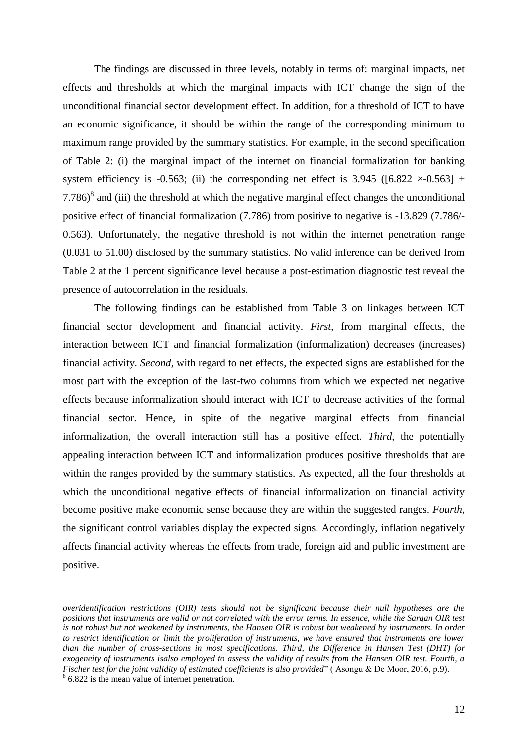The findings are discussed in three levels, notably in terms of: marginal impacts, net effects and thresholds at which the marginal impacts with ICT change the sign of the unconditional financial sector development effect. In addition, for a threshold of ICT to have an economic significance, it should be within the range of the corresponding minimum to maximum range provided by the summary statistics. For example, in the second specification of Table 2: (i) the marginal impact of the internet on financial formalization for banking system efficiency is -0.563; (ii) the corresponding net effect is  $3.945$  ([6.822  $\times$ -0.563] +  $7.786$ <sup>8</sup> and (iii) the threshold at which the negative marginal effect changes the unconditional positive effect of financial formalization (7.786) from positive to negative is -13.829 (7.786/- 0.563). Unfortunately, the negative threshold is not within the internet penetration range (0.031 to 51.00) disclosed by the summary statistics. No valid inference can be derived from Table 2 at the 1 percent significance level because a post-estimation diagnostic test reveal the presence of autocorrelation in the residuals.

The following findings can be established from Table 3 on linkages between ICT financial sector development and financial activity. *First*, from marginal effects, the interaction between ICT and financial formalization (informalization) decreases (increases) financial activity. *Second,* with regard to net effects, the expected signs are established for the most part with the exception of the last-two columns from which we expected net negative effects because informalization should interact with ICT to decrease activities of the formal financial sector. Hence, in spite of the negative marginal effects from financial informalization, the overall interaction still has a positive effect. *Third,* the potentially appealing interaction between ICT and informalization produces positive thresholds that are within the ranges provided by the summary statistics. As expected, all the four thresholds at which the unconditional negative effects of financial informalization on financial activity become positive make economic sense because they are within the suggested ranges. *Fourth*, the significant control variables display the expected signs. Accordingly, inflation negatively affects financial activity whereas the effects from trade, foreign aid and public investment are positive.

 $\overline{a}$ 

*overidentification restrictions (OIR) tests should not be significant because their null hypotheses are the positions that instruments are valid or not correlated with the error terms. In essence, while the Sargan OIR test is not robust but not weakened by instruments, the Hansen OIR is robust but weakened by instruments. In order to restrict identification or limit the proliferation of instruments, we have ensured that instruments are lower than the number of cross-sections in most specifications. Third, the Difference in Hansen Test (DHT) for exogeneity of instruments isalso employed to assess the validity of results from the Hansen OIR test. Fourth, a Fischer test for the joint validity of estimated coefficients is also provided*" ( Asongu & De Moor, 2016, p.9). <sup>8</sup> 6.822 is the mean value of internet penetration.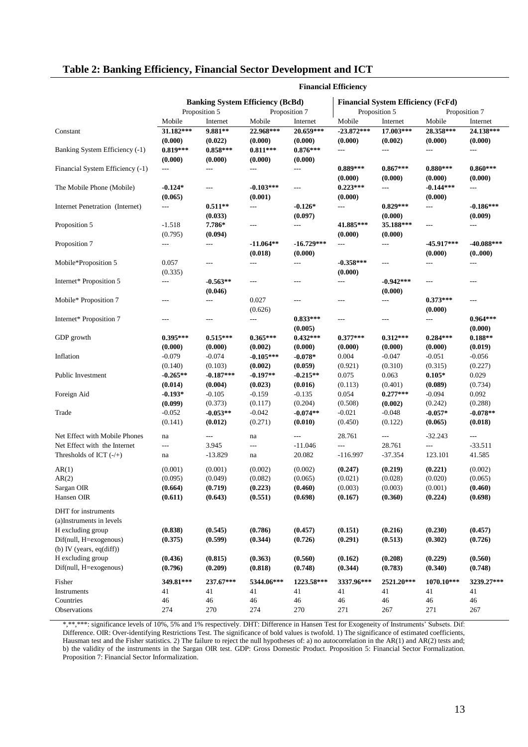# **Table 2: Banking Efficiency, Financial Sector Development and ICT**

|                                  | <b>Banking System Efficiency (BcBd)</b> |                |                |               |                | <b>Financial System Efficiency (FcFd)</b> |                |                |  |  |
|----------------------------------|-----------------------------------------|----------------|----------------|---------------|----------------|-------------------------------------------|----------------|----------------|--|--|
|                                  |                                         | Proposition 5  |                | Proposition 7 |                | Proposition 5                             |                | Proposition 7  |  |  |
|                                  | Mobile                                  | Internet       | Mobile         | Internet      | Mobile         | Internet                                  | Mobile         | Internet       |  |  |
| Constant                         | 31.182***                               | 9.881**        | 22.968***      | 20.659***     | $-23.872***$   | 17.003***                                 | 28.358***      | 24.138***      |  |  |
|                                  | (0.000)                                 | (0.022)        | (0.000)        | (0.000)       | (0.000)        | (0.002)                                   | (0.000)        | (0.000)        |  |  |
| Banking System Efficiency (-1)   | $0.819***$                              | $0.858***$     | $0.811***$     | $0.876***$    | $\overline{a}$ | $---$                                     | $---$          | $\cdots$       |  |  |
|                                  | (0.000)                                 | (0.000)        | (0.000)        | (0.000)       |                |                                           |                |                |  |  |
| Financial System Efficiency (-1) | $\cdots$                                | ---            | ---            | ---           | $0.889***$     | $0.867***$                                | $0.880***$     | $0.860***$     |  |  |
|                                  |                                         |                |                |               | (0.000)        | (0.000)                                   | (0.000)        | (0.000)        |  |  |
| The Mobile Phone (Mobile)        | $-0.124*$                               | ---            | $-0.103***$    | $---$         | $0.223***$     | $\cdots$                                  | $-0.144***$    | $\cdots$       |  |  |
|                                  | (0.065)                                 |                | (0.001)        |               | (0.000)        |                                           | (0.000)        |                |  |  |
| Internet Penetration (Internet)  | $---$                                   | $0.511**$      | $\overline{a}$ | $-0.126*$     | $---$          | $0.829***$                                | $---$          | $-0.186***$    |  |  |
|                                  |                                         | (0.033)        |                | (0.097)       |                | (0.000)                                   |                | (0.009)        |  |  |
| Proposition 5                    | -1.518                                  | 7.786*         | $---$          | $\cdots$      | 41.885***      | 35.188***                                 | $---$          | $\cdots$       |  |  |
|                                  | (0.795)                                 | (0.094)        |                |               | (0.000)        | (0.000)                                   |                |                |  |  |
| Proposition 7                    | $---$                                   | ---            | $-11.064**$    | $-16.729***$  | ---            | $\overline{a}$                            | $-45.917***$   | $-40.088***$   |  |  |
|                                  |                                         |                | (0.018)        | (0.000)       |                |                                           | (0.000)        | (0000)         |  |  |
| Mobile*Proposition 5             | 0.057                                   | ---            | $---$          | $---$         | $-0.358***$    | $---$                                     | $---$          | ---            |  |  |
|                                  | (0.335)                                 |                |                |               | (0.000)        |                                           |                |                |  |  |
| Internet* Proposition 5          | $---$                                   | $-0.563**$     | $---$          | $---$         | $---$          | $-0.942***$                               | $---$          | ---            |  |  |
|                                  |                                         | (0.046)        |                |               |                | (0.000)                                   |                |                |  |  |
| Mobile* Proposition 7            | ---                                     | ---            | 0.027          | ---           | $\cdots$       | $---$                                     | $0.373***$     | ---            |  |  |
|                                  |                                         |                | (0.626)        |               |                |                                           | (0.000)        |                |  |  |
| Internet* Proposition 7          | ---                                     | ---            | ---            | $0.833***$    | ---            | $---$                                     | $\cdots$       | $0.964***$     |  |  |
|                                  |                                         |                |                | (0.005)       |                |                                           |                | (0.000)        |  |  |
| GDP growth                       | $0.395***$                              | $0.515***$     | $0.365***$     | $0.432***$    | $0.377***$     | $0.312***$                                | $0.284***$     | $0.188**$      |  |  |
|                                  | (0.000)                                 | (0.000)        | (0.002)        | (0.000)       | (0.000)        | (0.000)                                   | (0.000)        | (0.019)        |  |  |
| Inflation                        | $-0.079$                                | -0.074         | $-0.105***$    | $-0.078*$     | 0.004          | $-0.047$                                  | $-0.051$       | $-0.056$       |  |  |
|                                  | (0.140)                                 | (0.103)        | (0.002)        | (0.059)       | (0.921)        | (0.310)                                   | (0.315)        | (0.227)        |  |  |
| Public Investment                | $-0.265**$                              | $-0.187***$    | $-0.197**$     | $-0.215**$    | 0.075          | 0.063                                     | $0.105*$       | 0.029          |  |  |
|                                  | (0.014)                                 | (0.004)        | (0.023)        | (0.016)       | (0.113)        | (0.401)                                   | (0.089)        | (0.734)        |  |  |
| Foreign Aid                      | $-0.193*$                               | -0.105         | $-0.159$       | $-0.135$      | 0.054          | $0.277***$                                | $-0.094$       | 0.092          |  |  |
|                                  | (0.099)                                 | (0.373)        | (0.117)        | (0.204)       | (0.508)        | (0.002)                                   | (0.242)        | (0.288)        |  |  |
| Trade                            | $-0.052$                                | $-0.053**$     | $-0.042$       | $-0.074**$    | $-0.021$       | $-0.048$                                  | $-0.057*$      | $-0.078**$     |  |  |
|                                  | (0.141)                                 | (0.012)        | (0.271)        | (0.010)       | (0.450)        | (0.122)                                   | (0.065)        | (0.018)        |  |  |
| Net Effect with Mobile Phones    | na                                      | $\overline{a}$ | na             | $---$         | 28.761         | $\overline{a}$                            | $-32.243$      | $\overline{a}$ |  |  |
| Net Effect with the Internet     | $---$                                   | 3.945          | $\cdots$       | $-11.046$     | $\cdots$       | 28.761                                    | $\overline{a}$ | $-33.511$      |  |  |
| Thresholds of ICT $(-/+)$        | na                                      | $-13.829$      | na             | 20.082        | $-116.997$     | $-37.354$                                 | 123.101        | 41.585         |  |  |
| AR(1)                            | (0.001)                                 | (0.001)        | (0.002)        | (0.002)       | (0.247)        | (0.219)                                   | (0.221)        | (0.002)        |  |  |
| AR(2)                            | (0.095)                                 | (0.049)        | (0.082)        | (0.065)       | (0.021)        | (0.028)                                   | (0.020)        | (0.065)        |  |  |
| Sargan OIR                       | (0.664)                                 | (0.719)        | (0.223)        | (0.460)       | (0.003)        | (0.003)                                   | (0.001)        | (0.460)        |  |  |
| Hansen OIR                       | (0.611)                                 | (0.643)        | (0.551)        | (0.698)       | (0.167)        | (0.360)                                   | (0.224)        | (0.698)        |  |  |
|                                  |                                         |                |                |               |                |                                           |                |                |  |  |
| DHT for instruments              |                                         |                |                |               |                |                                           |                |                |  |  |
| (a)Instruments in levels         |                                         |                |                |               |                |                                           |                |                |  |  |
| H excluding group                | (0.838)                                 | (0.545)        | (0.786)        | (0.457)       | (0.151)        | (0.216)                                   | (0.230)        | (0.457)        |  |  |
| Dif(null, H=exogenous)           | (0.375)                                 | (0.599)        | (0.344)        | (0.726)       | (0.291)        | (0.513)                                   | (0.302)        | (0.726)        |  |  |
| (b) IV (years, $eq(diff)$ )      |                                         |                |                |               |                |                                           |                |                |  |  |
| H excluding group                | (0.436)                                 | (0.815)        | (0.363)        | (0.560)       | (0.162)        | (0.208)                                   | (0.229)        | (0.560)        |  |  |
| Dif(null, H=exogenous)           | (0.796)                                 | (0.209)        | (0.818)        | (0.748)       | (0.344)        | (0.783)                                   | (0.340)        | (0.748)        |  |  |
| Fisher                           | 349.81***                               | 237.67***      | 5344.06***     | 1223.58***    | 3337.96***     | 2521.20***                                | 1070.10***     | 3239.27***     |  |  |
| Instruments                      | 41                                      | 41             | 41             | 41            | 41             | 41                                        | 41             | 41             |  |  |
| Countries                        | 46                                      | 46             | 46             | 46            | 46             | 46                                        | 46             | 46             |  |  |
| Observations                     | 274                                     | 270            | 274            | 270           | 271            | 267                                       | 271            | 267            |  |  |

**Financial Efficiency**

\*,\*\*,\*\*\*: significance levels of 10%, 5% and 1% respectively. DHT: Difference in Hansen Test for Exogeneity of Instruments' Subsets. Dif: Difference. OIR: Over-identifying Restrictions Test. The significance of bold values is twofold. 1) The significance of estimated coefficients, Hausman test and the Fisher statistics. 2) The failure to reject the null hypotheses of: a) no autocorrelation in the AR(1) and AR(2) tests and; b) the validity of the instruments in the Sargan OIR test. GDP: Gross Domestic Product. Proposition 5: Financial Sector Formalization. Proposition 7: Financial Sector Informalization.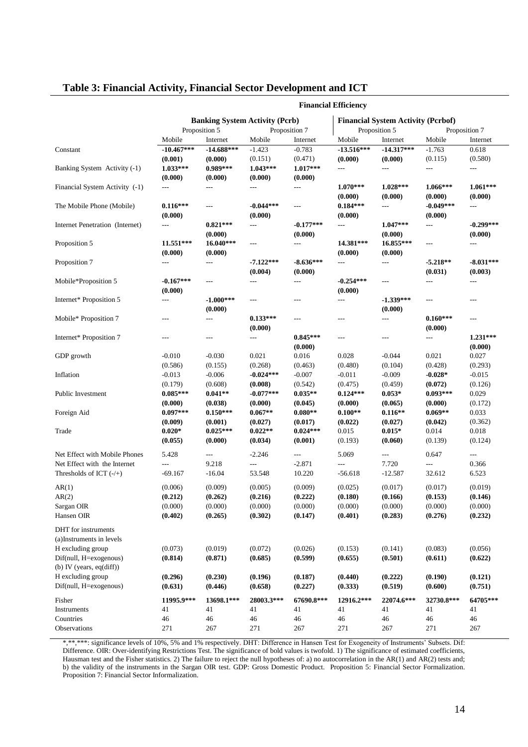|                                                       | <b>Financial Efficiency</b> |                                                 |                  |             |                                           |                |                      |                          |  |
|-------------------------------------------------------|-----------------------------|-------------------------------------------------|------------------|-------------|-------------------------------------------|----------------|----------------------|--------------------------|--|
|                                                       |                             | <b>Banking System Activity (Pcrb)</b>           |                  |             | <b>Financial System Activity (Pcrbof)</b> |                |                      |                          |  |
|                                                       |                             | Proposition 5<br>Proposition 5<br>Proposition 7 |                  |             | Proposition 7                             |                |                      |                          |  |
|                                                       | Mobile                      | Internet                                        | Mobile           | Internet    | Mobile                                    | Internet       | Mobile               | Internet                 |  |
| Constant                                              | $-10.467***$                | $-14.688***$                                    | $-1.423$         | $-0.783$    | $-13.516***$                              | $-14.317***$   | $-1.763$             | 0.618                    |  |
|                                                       | (0.001)                     | (0.000)                                         | (0.151)          | (0.471)     | (0.000)                                   | (0.000)        | (0.115)              | (0.580)                  |  |
| Banking System Activity (-1)                          | $1.033***$                  | $0.989***$                                      | $1.043***$       | $1.017***$  | $---$                                     | ---            | $\scriptstyle\cdots$ | $\hspace{0.05cm} \ldots$ |  |
|                                                       | (0.000)                     | (0.000)                                         | (0.000)          | (0.000)     |                                           |                |                      |                          |  |
| Financial System Activity (-1)                        | $\cdots$                    | ---                                             | $\cdots$         | $---$       | $1.070***$                                | $1.028***$     | $1.066***$           | $1.061***$               |  |
|                                                       |                             |                                                 |                  |             | (0.000)                                   | (0.000)        | (0.000)              | (0.000)                  |  |
| The Mobile Phone (Mobile)                             | $0.116***$                  | $---$                                           | $-0.044***$      | $---$       | $0.184***$                                | $---$          | $-0.049***$          | $---$                    |  |
|                                                       | (0.000)                     |                                                 | (0.000)          |             | (0.000)                                   |                | (0.000)              |                          |  |
| Internet Penetration (Internet)                       | $\cdots$                    | $0.821***$                                      | $---$            | $-0.177***$ | $---$                                     | $1.047***$     | $---$                | $-0.299***$              |  |
|                                                       |                             | (0.000)                                         |                  | (0.000)     |                                           | (0.000)        |                      | (0.000)                  |  |
| Proposition 5                                         | 11.551***                   | 16.040***                                       | $\cdots$         | $---$       | 14.381***                                 | 16.855***      | $---$                | $\cdots$                 |  |
|                                                       | (0.000)                     | (0.000)                                         |                  |             | (0.000)                                   | (0.000)        |                      |                          |  |
| Proposition 7                                         | ---                         | $---$                                           | $-7.122***$      | $-8.636***$ | ---                                       | ---            | $-5.218**$           | $-8.031***$              |  |
|                                                       |                             |                                                 | (0.004)          | (0.000)     |                                           |                | (0.031)              | (0.003)                  |  |
| Mobile*Proposition 5                                  | $-0.167***$                 | $---$                                           | $---$            | ---         | $-0.254***$                               | ---            | ---                  | $\overline{a}$           |  |
|                                                       | (0.000)                     |                                                 |                  |             | (0.000)                                   |                |                      |                          |  |
| Internet* Proposition 5                               | ---                         | $-1.000***$                                     | $---$            | ---         | ---                                       | $-1.339***$    | $---$                | ---                      |  |
|                                                       |                             | (0.000)                                         |                  |             |                                           | (0.000)        |                      |                          |  |
| Mobile* Proposition 7                                 | $---$                       | $\overline{a}$                                  | $0.133***$       | $---$       | $---$                                     | $\overline{a}$ | $0.160***$           | $---$                    |  |
| Internet* Proposition 7                               | ---                         | ---                                             | (0.000)<br>$---$ | $0.845***$  | $\overline{\phantom{a}}$                  | ---            | (0.000)<br>---       | $1.231***$               |  |
|                                                       |                             |                                                 |                  | (0.000)     |                                           |                |                      | (0.000)                  |  |
| GDP growth                                            | $-0.010$                    | $-0.030$                                        | 0.021            | 0.016       | 0.028                                     | $-0.044$       | 0.021                | 0.027                    |  |
|                                                       | (0.586)                     | (0.155)                                         | (0.268)          | (0.463)     | (0.480)                                   | (0.104)        | (0.428)              | (0.293)                  |  |
| Inflation                                             | $-0.013$                    | $-0.006$                                        | $-0.024***$      | $-0.007$    | -0.011                                    | $-0.009$       | $-0.028*$            | $-0.015$                 |  |
|                                                       | (0.179)                     | (0.608)                                         | (0.008)          | (0.542)     | (0.475)                                   | (0.459)        | (0.072)              | (0.126)                  |  |
| Public Investment                                     | $0.085***$                  | $0.041**$                                       | $-0.077***$      | $0.035**$   | $0.124***$                                | $0.053*$       | $0.093***$           | 0.029                    |  |
|                                                       | (0.000)                     | (0.038)                                         | (0.000)          | (0.045)     | (0.000)                                   | (0.065)        | (0.000)              | (0.172)                  |  |
| Foreign Aid                                           | $0.097***$                  | $0.150***$                                      | $0.067**$        | $0.080**$   | $0.100**$                                 | $0.116**$      | $0.069**$            | 0.033                    |  |
|                                                       | (0.009)                     | (0.001)                                         | (0.027)          | (0.017)     | (0.022)                                   | (0.027)        | (0.042)              | (0.362)                  |  |
| Trade                                                 | $0.020*$                    | $0.025***$                                      | $0.022**$        | $0.024***$  | 0.015                                     | $0.015*$       | 0.014                | 0.018                    |  |
|                                                       | (0.055)                     | (0.000)                                         | (0.034)          | (0.001)     | (0.193)                                   | (0.060)        | (0.139)              | (0.124)                  |  |
|                                                       |                             |                                                 |                  |             |                                           |                |                      |                          |  |
| Net Effect with Mobile Phones                         | 5.428                       | $\cdots$                                        | $-2.246$         | $\cdots$    | 5.069                                     | $---$          | 0.647                | $---$                    |  |
| Net Effect with the Internet                          | ---                         | 9.218                                           | $---$            | $-2.871$    | $---$                                     | 7.720          | $\cdots$             | 0.366                    |  |
| Thresholds of ICT $(-/+)$                             | $-69.167$                   | $-16.04$                                        | 53.548           | 10.220      | $-56.618$                                 | $-12.587$      | 32.612               | 6.523                    |  |
| AR(1)                                                 | (0.006)                     | (0.009)                                         | (0.005)          | (0.009)     | (0.025)                                   | (0.017)        | (0.017)              | (0.019)                  |  |
| AR(2)                                                 | (0.212)                     | (0.262)                                         | (0.216)          | (0.222)     | (0.180)                                   | (0.166)        | (0.153)              | (0.146)                  |  |
| Sargan OIR                                            | (0.000)                     | (0.000)                                         | (0.000)          | (0.000)     | (0.000)                                   | (0.000)        | (0.000)              | (0.000)                  |  |
| Hansen OIR                                            | (0.402)                     | (0.265)                                         | (0.302)          | (0.147)     | (0.401)                                   | (0.283)        | (0.276)              | (0.232)                  |  |
|                                                       |                             |                                                 |                  |             |                                           |                |                      |                          |  |
| DHT for instruments                                   |                             |                                                 |                  |             |                                           |                |                      |                          |  |
| (a)Instruments in levels                              | (0.073)                     | (0.019)                                         | (0.072)          | (0.026)     | (0.153)                                   |                |                      | (0.056)                  |  |
| H excluding group                                     |                             |                                                 |                  |             | (0.655)                                   | (0.141)        | (0.083)              |                          |  |
| Dif(null, H=exogenous)<br>(b) IV (years, $eq(diff)$ ) | (0.814)                     | (0.871)                                         | (0.685)          | (0.599)     |                                           | (0.501)        | (0.611)              | (0.622)                  |  |
| H excluding group                                     | (0.296)                     | (0.230)                                         | (0.196)          | (0.187)     | (0.440)                                   | (0.222)        | (0.190)              | (0.121)                  |  |
|                                                       |                             |                                                 |                  |             |                                           |                |                      |                          |  |
| Dif(null, H=exogenous)                                | (0.631)                     | (0.446)                                         | (0.658)          | (0.227)     | (0.333)                                   | (0.519)        | (0.600)              | (0.751)                  |  |
| Fisher                                                | 11995.9***                  | 13698.1***                                      | 28003.3***       | 67690.8***  | 12916.2***                                | 22074.6***     | 32730.8***           | 64705***                 |  |
| Instruments                                           | 41                          | 41                                              | 41               | 41          | 41                                        | 41             | 41                   | 41                       |  |
| Countries                                             | 46                          | 46                                              | 46               | 46          | 46                                        | 46             | 46                   | 46                       |  |
| Observations                                          | 271                         | 267                                             | 271              | 267         | 271                                       | 267            | 271                  | 267                      |  |
|                                                       |                             |                                                 |                  |             |                                           |                |                      |                          |  |

## **Table 3: Financial Activity, Financial Sector Development and ICT**

\*,\*\*,\*\*\*: significance levels of 10%, 5% and 1% respectively. DHT: Difference in Hansen Test for Exogeneity of Instruments' Subsets. Dif: Difference. OIR: Over-identifying Restrictions Test. The significance of bold values is twofold. 1) The significance of estimated coefficients, Hausman test and the Fisher statistics. 2) The failure to reject the null hypotheses of: a) no autocorrelation in the AR(1) and AR(2) tests and; b) the validity of the instruments in the Sargan OIR test. GDP: Gross Domestic Product. Proposition 5: Financial Sector Formalization. Proposition 7: Financial Sector Informalization.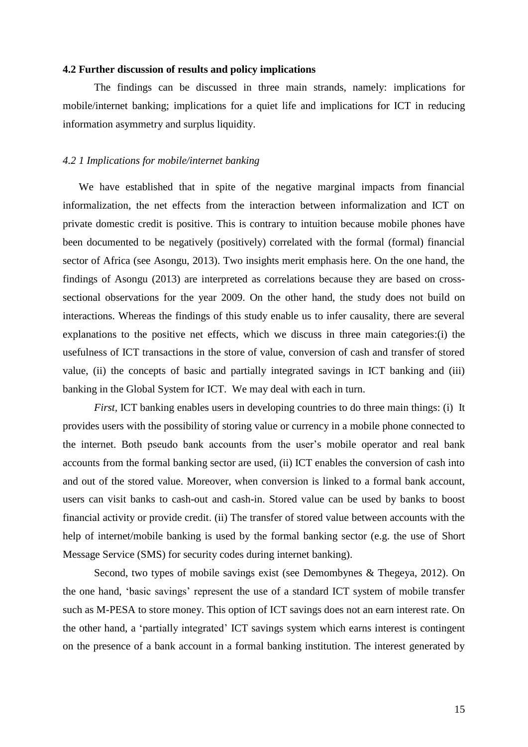#### **4.2 Further discussion of results and policy implications**

The findings can be discussed in three main strands, namely: implications for mobile/internet banking; implications for a quiet life and implications for ICT in reducing information asymmetry and surplus liquidity.

#### *4.2 1 Implications for mobile/internet banking*

We have established that in spite of the negative marginal impacts from financial informalization, the net effects from the interaction between informalization and ICT on private domestic credit is positive. This is contrary to intuition because mobile phones have been documented to be negatively (positively) correlated with the formal (formal) financial sector of Africa (see Asongu, 2013). Two insights merit emphasis here. On the one hand, the findings of Asongu (2013) are interpreted as correlations because they are based on crosssectional observations for the year 2009. On the other hand, the study does not build on interactions. Whereas the findings of this study enable us to infer causality, there are several explanations to the positive net effects, which we discuss in three main categories:(i) the usefulness of ICT transactions in the store of value, conversion of cash and transfer of stored value, (ii) the concepts of basic and partially integrated savings in ICT banking and (iii) banking in the Global System for ICT. We may deal with each in turn.

*First,* ICT banking enables users in developing countries to do three main things: (i) It provides users with the possibility of storing value or currency in a mobile phone connected to the internet. Both pseudo bank accounts from the user's mobile operator and real bank accounts from the formal banking sector are used, (ii) ICT enables the conversion of cash into and out of the stored value. Moreover, when conversion is linked to a formal bank account, users can visit banks to cash-out and cash-in. Stored value can be used by banks to boost financial activity or provide credit. (ii) The transfer of stored value between accounts with the help of internet/mobile banking is used by the formal banking sector (e.g. the use of Short Message Service (SMS) for security codes during internet banking).

Second, two types of mobile savings exist (see Demombynes & Thegeya, 2012). On the one hand, 'basic savings' represent the use of a standard ICT system of mobile transfer such as M-PESA to store money. This option of ICT savings does not an earn interest rate. On the other hand, a 'partially integrated' ICT savings system which earns interest is contingent on the presence of a bank account in a formal banking institution. The interest generated by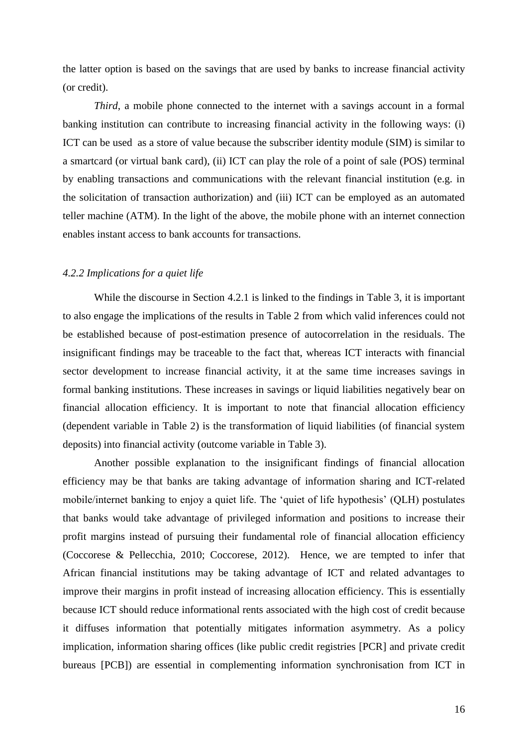the latter option is based on the savings that are used by banks to increase financial activity (or credit).

*Third*, a mobile phone connected to the internet with a savings account in a formal banking institution can contribute to increasing financial activity in the following ways: (i) ICT can be used as a store of value because the subscriber identity module (SIM) is similar to a smartcard (or virtual bank card), (ii) ICT can play the role of a point of sale (POS) terminal by enabling transactions and communications with the relevant financial institution (e.g. in the solicitation of transaction authorization) and (iii) ICT can be employed as an automated teller machine (ATM). In the light of the above, the mobile phone with an internet connection enables instant access to bank accounts for transactions.

#### *4.2.2 Implications for a quiet life*

While the discourse in Section 4.2.1 is linked to the findings in Table 3, it is important to also engage the implications of the results in Table 2 from which valid inferences could not be established because of post-estimation presence of autocorrelation in the residuals. The insignificant findings may be traceable to the fact that, whereas ICT interacts with financial sector development to increase financial activity, it at the same time increases savings in formal banking institutions. These increases in savings or liquid liabilities negatively bear on financial allocation efficiency. It is important to note that financial allocation efficiency (dependent variable in Table 2) is the transformation of liquid liabilities (of financial system deposits) into financial activity (outcome variable in Table 3).

Another possible explanation to the insignificant findings of financial allocation efficiency may be that banks are taking advantage of information sharing and ICT-related mobile/internet banking to enjoy a quiet life. The 'quiet of life hypothesis' (QLH) postulates that banks would take advantage of privileged information and positions to increase their profit margins instead of pursuing their fundamental role of financial allocation efficiency (Coccorese & Pellecchia, 2010; Coccorese, 2012). Hence, we are tempted to infer that African financial institutions may be taking advantage of ICT and related advantages to improve their margins in profit instead of increasing allocation efficiency. This is essentially because ICT should reduce informational rents associated with the high cost of credit because it diffuses information that potentially mitigates information asymmetry. As a policy implication, information sharing offices (like public credit registries [PCR] and private credit bureaus [PCB]) are essential in complementing information synchronisation from ICT in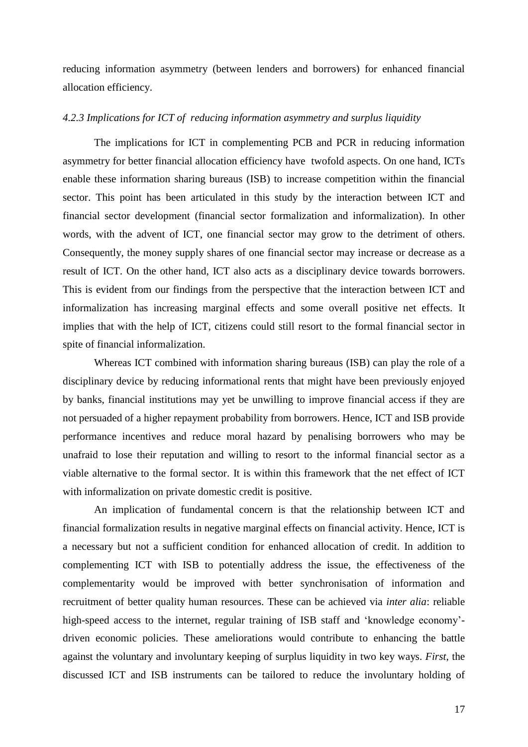reducing information asymmetry (between lenders and borrowers) for enhanced financial allocation efficiency.

#### *4.2.3 Implications for ICT of reducing information asymmetry and surplus liquidity*

The implications for ICT in complementing PCB and PCR in reducing information asymmetry for better financial allocation efficiency have twofold aspects. On one hand, ICTs enable these information sharing bureaus (ISB) to increase competition within the financial sector. This point has been articulated in this study by the interaction between ICT and financial sector development (financial sector formalization and informalization). In other words, with the advent of ICT, one financial sector may grow to the detriment of others. Consequently, the money supply shares of one financial sector may increase or decrease as a result of ICT. On the other hand, ICT also acts as a disciplinary device towards borrowers. This is evident from our findings from the perspective that the interaction between ICT and informalization has increasing marginal effects and some overall positive net effects. It implies that with the help of ICT, citizens could still resort to the formal financial sector in spite of financial informalization.

Whereas ICT combined with information sharing bureaus (ISB) can play the role of a disciplinary device by reducing informational rents that might have been previously enjoyed by banks, financial institutions may yet be unwilling to improve financial access if they are not persuaded of a higher repayment probability from borrowers. Hence, ICT and ISB provide performance incentives and reduce moral hazard by penalising borrowers who may be unafraid to lose their reputation and willing to resort to the informal financial sector as a viable alternative to the formal sector. It is within this framework that the net effect of ICT with informalization on private domestic credit is positive.

An implication of fundamental concern is that the relationship between ICT and financial formalization results in negative marginal effects on financial activity. Hence, ICT is a necessary but not a sufficient condition for enhanced allocation of credit. In addition to complementing ICT with ISB to potentially address the issue, the effectiveness of the complementarity would be improved with better synchronisation of information and recruitment of better quality human resources. These can be achieved via *inter alia*: reliable high-speed access to the internet, regular training of ISB staff and 'knowledge economy' driven economic policies. These ameliorations would contribute to enhancing the battle against the voluntary and involuntary keeping of surplus liquidity in two key ways. *First*, the discussed ICT and ISB instruments can be tailored to reduce the involuntary holding of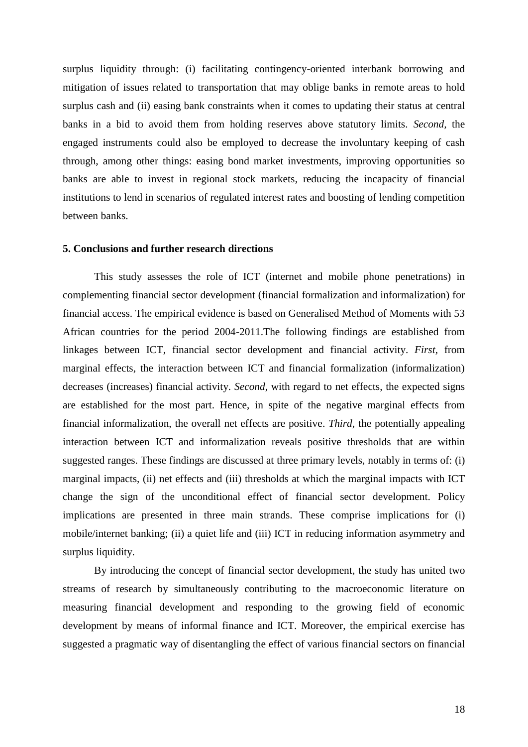surplus liquidity through: (i) facilitating contingency-oriented interbank borrowing and mitigation of issues related to transportation that may oblige banks in remote areas to hold surplus cash and (ii) easing bank constraints when it comes to updating their status at central banks in a bid to avoid them from holding reserves above statutory limits. *Second,* the engaged instruments could also be employed to decrease the involuntary keeping of cash through, among other things: easing bond market investments, improving opportunities so banks are able to invest in regional stock markets, reducing the incapacity of financial institutions to lend in scenarios of regulated interest rates and boosting of lending competition between banks.

#### **5. Conclusions and further research directions**

This study assesses the role of ICT (internet and mobile phone penetrations) in complementing financial sector development (financial formalization and informalization) for financial access. The empirical evidence is based on Generalised Method of Moments with 53 African countries for the period 2004-2011.The following findings are established from linkages between ICT, financial sector development and financial activity. *First,* from marginal effects, the interaction between ICT and financial formalization (informalization) decreases (increases) financial activity. *Second,* with regard to net effects, the expected signs are established for the most part. Hence, in spite of the negative marginal effects from financial informalization, the overall net effects are positive. *Third,* the potentially appealing interaction between ICT and informalization reveals positive thresholds that are within suggested ranges. These findings are discussed at three primary levels, notably in terms of: (i) marginal impacts, (ii) net effects and (iii) thresholds at which the marginal impacts with ICT change the sign of the unconditional effect of financial sector development. Policy implications are presented in three main strands. These comprise implications for (i) mobile/internet banking; (ii) a quiet life and (iii) ICT in reducing information asymmetry and surplus liquidity.

By introducing the concept of financial sector development, the study has united two streams of research by simultaneously contributing to the macroeconomic literature on measuring financial development and responding to the growing field of economic development by means of informal finance and ICT. Moreover, the empirical exercise has suggested a pragmatic way of disentangling the effect of various financial sectors on financial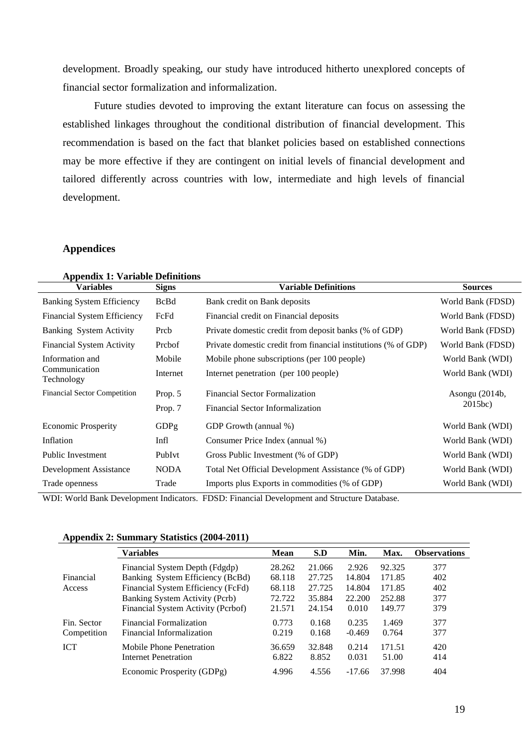development. Broadly speaking, our study have introduced hitherto unexplored concepts of financial sector formalization and informalization.

Future studies devoted to improving the extant literature can focus on assessing the established linkages throughout the conditional distribution of financial development. This recommendation is based on the fact that blanket policies based on established connections may be more effective if they are contingent on initial levels of financial development and tailored differently across countries with low, intermediate and high levels of financial development.

# **Appendices**

| <b>Variables</b>                    | <b>Signs</b> | <b>Variable Definitions</b>                                    | <b>Sources</b>    |
|-------------------------------------|--------------|----------------------------------------------------------------|-------------------|
| Banking System Efficiency           | <b>BcBd</b>  | Bank credit on Bank deposits                                   | World Bank (FDSD) |
| Financial System Efficiency         | FcFd         | Financial credit on Financial deposits                         | World Bank (FDSD) |
| Banking System Activity             | Prcb         | Private domestic credit from deposit banks (% of GDP)          | World Bank (FDSD) |
| <b>Financial System Activity</b>    | Prcbof       | Private domestic credit from financial institutions (% of GDP) | World Bank (FDSD) |
| Information and                     | Mobile       | Mobile phone subscriptions (per 100 people)                    | World Bank (WDI)  |
| Communication<br>Technology         | Internet     | Internet penetration (per 100 people)                          | World Bank (WDI)  |
| <b>Financial Sector Competition</b> | Prop. 5      | <b>Financial Sector Formalization</b>                          | Asongu $(2014b,$  |
|                                     | Prop. 7      | Financial Sector Informalization                               | 2015bc            |
| <b>Economic Prosperity</b>          | GDPg         | GDP Growth (annual %)                                          | World Bank (WDI)  |
| Inflation                           | Infl         | Consumer Price Index (annual %)                                | World Bank (WDI)  |
| Public Investment                   | PubIvt       | Gross Public Investment (% of GDP)                             | World Bank (WDI)  |
| Development Assistance              | <b>NODA</b>  | Total Net Official Development Assistance (% of GDP)           | World Bank (WDI)  |
| Trade openness                      | Trade        | Imports plus Exports in commodities (% of GDP)                 | World Bank (WDI)  |

**Appendix 1: Variable Definitions**

WDI: World Bank Development Indicators. FDSD: Financial Development and Structure Database.

|             | Variables                          | <b>Mean</b> | S.D    | Min.     | Max.   | <b>Observations</b> |
|-------------|------------------------------------|-------------|--------|----------|--------|---------------------|
|             | Financial System Depth (Fdgdp)     | 28.262      | 21.066 | 2.926    | 92.325 | 377                 |
| Financial   | Banking System Efficiency (BcBd)   | 68.118      | 27.725 | 14.804   | 171.85 | 402                 |
| Access      | Financial System Efficiency (FcFd) | 68.118      | 27.725 | 14.804   | 171.85 | 402                 |
|             | Banking System Activity (Pcrb)     | 72.722      | 35.884 | 22.200   | 252.88 | 377                 |
|             | Financial System Activity (Pcrbof) | 21.571      | 24.154 | 0.010    | 149.77 | 379                 |
| Fin. Sector | <b>Financial Formalization</b>     | 0.773       | 0.168  | 0.235    | 1.469  | 377                 |
| Competition | Financial Informalization          | 0.219       | 0.168  | $-0.469$ | 0.764  | 377                 |
| <b>ICT</b>  | Mobile Phone Penetration           | 36.659      | 32.848 | 0.214    | 171.51 | 420                 |
|             | Internet Penetration               | 6.822       | 8.852  | 0.031    | 51.00  | 414                 |
|             | Economic Prosperity (GDPg)         | 4.996       | 4.556  | $-17.66$ | 37.998 | 404                 |

#### **Appendix 2: Summary Statistics (2004-2011)**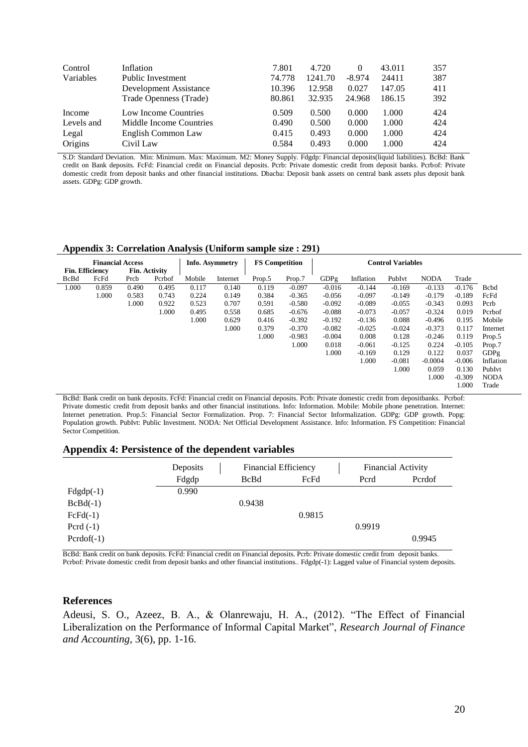| 0.509<br>0.500<br>0.000<br>1.000<br>Low Income Countries<br>Income<br>0.490<br>0.500<br>0.000<br>1.000<br>Levels and<br>Middle Income Countries<br>0.493<br>0.000<br>1.000<br>0.415<br>Legal<br>English Common Law | Control<br>Variables | Inflation<br>Public Investment<br>Development Assistance<br>Trade Openness (Trade) | 7.801<br>74.778<br>10.396<br>80.861 | 4.720<br>1241.70<br>12.958<br>32.935 | $^{(1)}$<br>$-8.974$<br>0.027<br>24.968 | 43.011<br>24411<br>147.05<br>186.15 | 357<br>387<br>411<br>392 |
|--------------------------------------------------------------------------------------------------------------------------------------------------------------------------------------------------------------------|----------------------|------------------------------------------------------------------------------------|-------------------------------------|--------------------------------------|-----------------------------------------|-------------------------------------|--------------------------|
| Origins<br>0.000<br>1.000<br>0.584<br>0.493<br>Civil Law                                                                                                                                                           |                      |                                                                                    |                                     |                                      |                                         |                                     | 424<br>424<br>424<br>424 |

S.D: Standard Deviation. Min: Minimum. Max: Maximum. M2: Money Supply. Fdgdp: Financial deposits(liquid liabilities). BcBd: Bank credit on Bank deposits. FcFd: Financial credit on Financial deposits. Pcrb: Private domestic credit from deposit banks. Pcrbof: Private domestic credit from deposit banks and other financial institutions. Dbacba: Deposit bank assets on central bank assets plus deposit bank assets. GDPg: GDP growth.

**Appendix 3: Correlation Analysis (Uniform sample size : 291)**

| <b>Financial Access</b> |       |                      | Info. Asymmetry | <b>FS Competition</b> |          |        |          | <b>Control Variables</b> |           |          |             |          |              |
|-------------------------|-------|----------------------|-----------------|-----------------------|----------|--------|----------|--------------------------|-----------|----------|-------------|----------|--------------|
| <b>Fin. Efficiency</b>  |       | <b>Fin. Activity</b> |                 |                       |          |        |          |                          |           |          |             |          |              |
| <b>BcBd</b>             | FcFd  | Prcb                 | Pcrbof          | Mobile                | Internet | Prop.5 | Prop.7   | GDPg                     | Inflation | PubIvt   | <b>NODA</b> | Trade    |              |
| 1.000                   | 0.859 | 0.490                | 0.495           | 0.117                 | 0.140    | 0.119  | $-0.097$ | $-0.016$                 | $-0.144$  | $-0.169$ | $-0.133$    | $-0.176$ | <b>B</b> cbd |
|                         | 1.000 | 0.583                | 0.743           | 0.224                 | 0.149    | 0.384  | $-0.365$ | $-0.056$                 | $-0.097$  | $-0.149$ | $-0.179$    | $-0.189$ | FcFd         |
|                         |       | 1.000                | 0.922           | 0.523                 | 0.707    | 0.591  | $-0.580$ | $-0.092$                 | $-0.089$  | $-0.055$ | $-0.343$    | 0.093    | Pcrb         |
|                         |       |                      | 1.000           | 0.495                 | 0.558    | 0.685  | $-0.676$ | $-0.088$                 | $-0.073$  | $-0.057$ | $-0.324$    | 0.019    | Perbof       |
|                         |       |                      |                 | 1.000                 | 0.629    | 0.416  | $-0.392$ | $-0.192$                 | $-0.136$  | 0.088    | $-0.496$    | 0.195    | Mobile       |
|                         |       |                      |                 |                       | 1.000    | 0.379  | $-0.370$ | $-0.082$                 | $-0.025$  | $-0.024$ | $-0.373$    | 0.117    | Internet     |
|                         |       |                      |                 |                       |          | 1.000  | $-0.983$ | $-0.004$                 | 0.008     | 0.128    | $-0.246$    | 0.119    | Prop.5       |
|                         |       |                      |                 |                       |          |        | 1.000    | 0.018                    | $-0.061$  | $-0.125$ | 0.224       | $-0.105$ | Prop.7       |
|                         |       |                      |                 |                       |          |        |          | 1.000                    | $-0.169$  | 0.129    | 0.122       | 0.037    | GDPg         |
|                         |       |                      |                 |                       |          |        |          |                          | 1.000     | $-0.081$ | $-0.0004$   | $-0.006$ | Inflation    |
|                         |       |                      |                 |                       |          |        |          |                          |           | 1.000    | 0.059       | 0.130    | PubIvt       |
|                         |       |                      |                 |                       |          |        |          |                          |           |          | 1.000       | $-0.309$ | <b>NODA</b>  |
|                         |       |                      |                 |                       |          |        |          |                          |           |          |             | 1.000    | Trade        |

BcBd: Bank credit on bank deposits. FcFd: Financial credit on Financial deposits. Pcrb: Private domestic credit from depositbanks. Pcrbof: Private domestic credit from deposit banks and other financial institutions. Info: Information. Mobile: Mobile phone penetration. Internet: Internet penetration. Prop.5: Financial Sector Formalization. Prop. 7: Financial Sector Informalization. GDPg: GDP growth. Popg: Population growth. PubIvt: Public Investment. NODA: Net Official Development Assistance. Info: Information. FS Competition: Financial Sector Competition.

#### **Appendix 4: Persistence of the dependent variables**

|              | Deposits | <b>Financial Efficiency</b> |        | <b>Financial Activity</b> |        |
|--------------|----------|-----------------------------|--------|---------------------------|--------|
|              | Fdgdp    | <b>BcBd</b>                 | FcFd   | Pcrd                      | Perdof |
| $Fdgdp(-1)$  | 0.990    |                             |        |                           |        |
| $BcBd(-1)$   |          | 0.9438                      |        |                           |        |
| $FcFd(-1)$   |          |                             | 0.9815 |                           |        |
| Pcrd $(-1)$  |          |                             |        | 0.9919                    |        |
| $Pcrdof(-1)$ |          |                             |        |                           | 0.9945 |

BcBd: Bank credit on bank deposits. FcFd: Financial credit on Financial deposits. Pcrb: Private domestic credit from deposit banks. Pcrbof: Private domestic credit from deposit banks and other financial institutions.. Fdgdp(-1): Lagged value of Financial system deposits.

#### **References**

Adeusi, S. O., Azeez, B. A., & Olanrewaju, H. A., (2012). "The Effect of Financial Liberalization on the Performance of Informal Capital Market", *Research Journal of Finance and Accounting*, 3(6), pp. 1-16.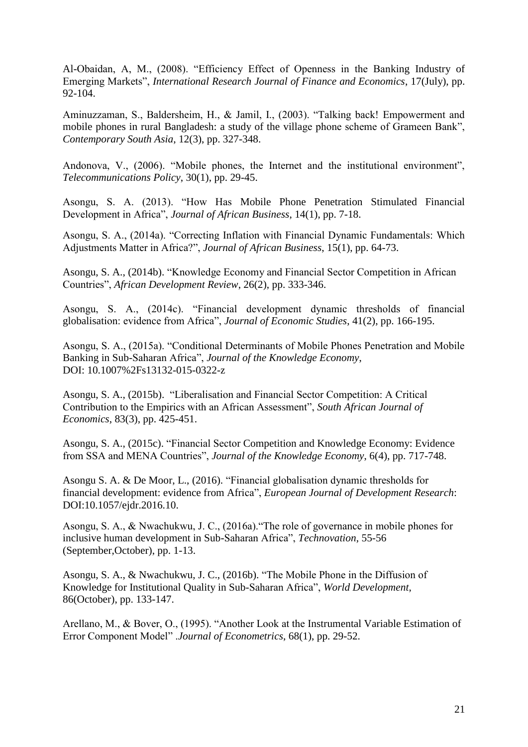Al-Obaidan, A, M., (2008). "Efficiency Effect of Openness in the Banking Industry of Emerging Markets", *International Research Journal of Finance and Economics*, 17(July), pp. 92-104.

Aminuzzaman, S., Baldersheim, H., & Jamil, I., (2003). "Talking back! Empowerment and mobile phones in rural Bangladesh: a study of the village phone scheme of Grameen Bank", *Contemporary South Asia*, 12(3), pp. 327-348.

Andonova, V., (2006). "Mobile phones, the Internet and the institutional environment", *Telecommunications Policy*, 30(1), pp. 29-45.

Asongu, S. A. (2013). "How Has Mobile Phone Penetration Stimulated Financial Development in Africa", *Journal of African Business*, 14(1), pp. 7-18.

Asongu, S. A., (2014a). "Correcting Inflation with Financial Dynamic Fundamentals: Which Adjustments Matter in Africa?", *Journal of African Business*, 15(1), pp. 64-73.

Asongu, S. A., (2014b). "Knowledge Economy and Financial Sector Competition in African Countries", *African Development Review*, 26(2), pp. 333-346.

Asongu, S. A., (2014c). "Financial development dynamic thresholds of financial globalisation: evidence from Africa", *Journal of Economic Studies*, 41(2), pp. 166-195.

Asongu, S. A., (2015a). "Conditional Determinants of Mobile Phones Penetration and Mobile Banking in Sub-Saharan Africa", *Journal of the Knowledge Economy*, DOI: 10.1007%2Fs13132-015-0322-z

Asongu, S. A., (2015b). "Liberalisation and Financial Sector Competition: A Critical Contribution to the Empirics with an African Assessment", *South African Journal of Economics*, 83(3), pp. 425-451.

Asongu, S. A., (2015c). "Financial Sector Competition and Knowledge Economy: Evidence from SSA and MENA Countries", *Journal of the Knowledge Economy*, 6(4), pp. 717-748.

Asongu S. A. & De Moor, L., (2016). "Financial globalisation dynamic thresholds for financial development: evidence from Africa", *European Journal of Development Research*: DOI:10.1057/ejdr.2016.10.

Asongu, S. A., & Nwachukwu, J. C., (2016a)."The role of governance in mobile phones for inclusive human development in Sub-Saharan Africa", *Technovation*, 55-56 (September,October), pp. 1-13.

Asongu, S. A., & Nwachukwu, J. C., (2016b). "The Mobile Phone in the Diffusion of Knowledge for Institutional Quality in Sub-Saharan Africa", *World Development*, 86(October), pp. 133-147.

Arellano, M., & Bover, O., (1995). "Another Look at the Instrumental Variable Estimation of Error Component Model" .*Journal of Econometrics*, 68(1), pp. 29-52.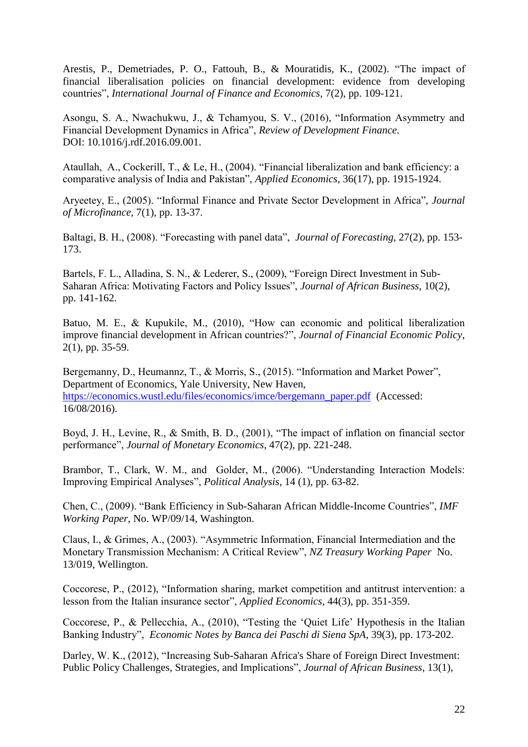Arestis, P., Demetriades, P. O., Fattouh, B., & Mouratidis, K., (2002). "The impact of financial liberalisation policies on financial development: evidence from developing countries", *International Journal of Finance and Economics*, 7(2), pp. 109-121.

Asongu, S. A., Nwachukwu, J., & Tchamyou, S. V., (2016), "Information Asymmetry and Financial Development Dynamics in Africa", *Review of Development Finance.* DOI: 10.1016/j.rdf.2016.09.001.

Ataullah, A., Cockerill, T., & Le, H., (2004). "Financial liberalization and bank efficiency: a comparative analysis of India and Pakistan", *Applied Economics*, 36(17), pp. 1915-1924.

Aryeetey, E., (2005). "Informal Finance and Private Sector Development in Africa", *Journal of Microfinance*, 7(1), pp. 13-37.

Baltagi, B. H., (2008). "Forecasting with panel data", *Journal of Forecasting*, 27(2), pp. 153- 173.

Bartels, F. L., Alladina, S. N., & Lederer, S., (2009), "Foreign Direct Investment in Sub-Saharan Africa: Motivating Factors and Policy Issues", *Journal of African Business*, 10(2), pp. 141-162.

Batuo, M. E., & Kupukile, M., (2010), "How can economic and political liberalization improve financial development in African countries?", *Journal of Financial Economic Policy*, 2(1), pp. 35-59.

Bergemanny, D., Heumannz, T., & Morris, S., (2015). "Information and Market Power", Department of Economics, Yale University, New Haven, [https://economics.wustl.edu/files/economics/imce/bergemann\\_paper.pdf](https://economics.wustl.edu/files/economics/imce/bergemann_paper.pdf) (Accessed: 16/08/2016).

Boyd, J. H., Levine, R., & Smith, B. D., (2001), "The impact of inflation on financial sector performance", *Journal of Monetary Economics*, 47(2), pp. 221-248.

Brambor, T., Clark, W. M., and Golder, M., (2006). "Understanding Interaction Models: Improving Empirical Analyses", *Political Analysis*, 14 (1), pp. 63-82.

Chen, C., (2009). "Bank Efficiency in Sub-Saharan African Middle-Income Countries", *IMF Working Paper*, No. WP/09/14, Washington.

Claus, I., & Grimes, A., (2003). "Asymmetric Information, Financial Intermediation and the Monetary Transmission Mechanism: A Critical Review", *NZ Treasury Working Paper* No. 13/019, Wellington.

Coccorese, P., (2012), "Information sharing, market competition and antitrust intervention: a lesson from the Italian insurance sector", *Applied Economics*, 44(3), pp. 351-359.

Coccorese, P., & Pellecchia, A., (2010), "Testing the 'Quiet Life' Hypothesis in the Italian Banking Industry", *Economic Notes by Banca dei Paschi di Siena SpA*, 39(3), pp. 173-202.

Darley, W. K., (2012), "Increasing Sub-Saharan Africa's Share of Foreign Direct Investment: Public Policy Challenges, Strategies, and Implications", *Journal of African Business*, 13(1),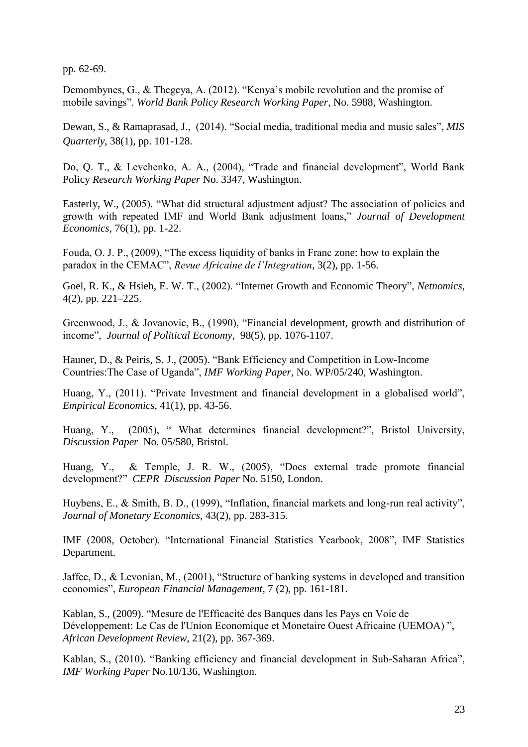pp. 62-69.

Demombynes, G., & Thegeya, A. (2012). "Kenya's mobile revolution and the promise of mobile savings". *World Bank Policy Research Working Paper*, No. 5988, Washington.

Dewan, S., & Ramaprasad, J., (2014). "Social media, traditional media and music sales", *MIS Quarterly*, 38(1), pp. 101-128.

Do, Q. T., & Levchenko, A. A., (2004), "Trade and financial development", World Bank Policy *Research Working Paper* No. 3347, Washington.

Easterly, W., (2005). "What did structural adjustment adjust? The association of policies and growth with repeated IMF and World Bank adjustment loans," *Journal of Development Economics*, 76(1), pp. 1-22.

Fouda, O. J. P., (2009), "The excess liquidity of banks in Franc zone: how to explain the paradox in the CEMAC", *Revue Africaine de l'Integration*, 3(2), pp. 1-56.

Goel, R. K., & Hsieh, E. W. T., (2002). "Internet Growth and Economic Theory", *Netnomics*, 4(2), pp. 221–225.

Greenwood, J., & Jovanovic, B., (1990), "Financial development, growth and distribution of income", *Journal of Political Economy*, 98(5), pp. 1076-1107.

Hauner, D., & Peiris, S. J., (2005). "Bank Efficiency and Competition in Low-Income Countries:The Case of Uganda", *IMF Working Paper*, No. WP/05/240, Washington.

Huang, Y., (2011). "Private Investment and financial development in a globalised world", *Empirical Economics*, 41(1), pp. 43-56.

Huang, Y., (2005), "What determines financial development?", Bristol University, *Discussion Paper* No. 05/580, Bristol.

Huang, Y., & Temple, J. R. W., (2005), "Does external trade promote financial development?" *CEPR Discussion Paper* No. 5150, London.

Huybens, E., & Smith, B. D., (1999), "Inflation, financial markets and long-run real activity", *Journal of Monetary Economics*, 43(2), pp. 283-315.

IMF (2008, October). "International Financial Statistics Yearbook, 2008", IMF Statistics Department.

Jaffee, D., & Levonian, M., (2001), "Structure of banking systems in developed and transition economies", *European Financial Management*, 7 (2), pp. 161-181.

Kablan, S., (2009). "Mesure de l'Efficacité des Banques dans les Pays en Voie de Développement: Le Cas de l'Union Economique et Monetaire Ouest Africaine (UEMOA) ", *African Development Review*, 21(2), pp. 367-369.

Kablan, S., (2010). "Banking efficiency and financial development in Sub-Saharan Africa", *IMF Working Paper* No*.*10/136, Washington*.*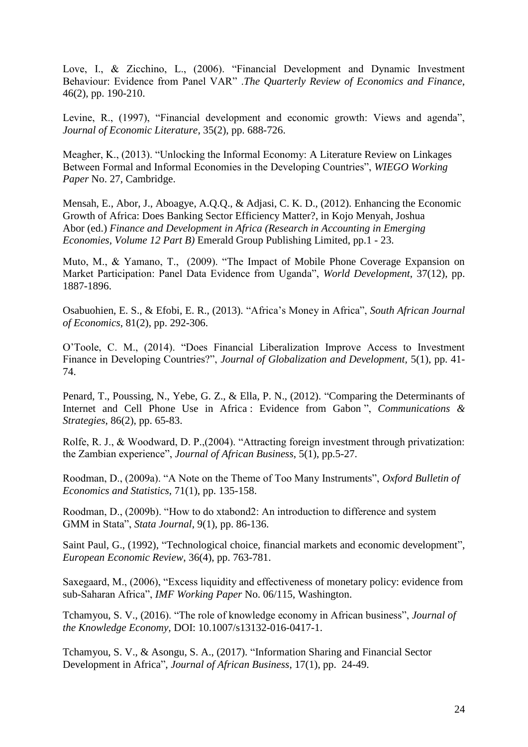Love, I., & Zicchino, L., (2006). "Financial Development and Dynamic Investment Behaviour: Evidence from Panel VAR" .*The Quarterly Review of Economics and Finance*, 46(2), pp. 190-210.

Levine, R., (1997), "Financial development and economic growth: Views and agenda", *Journal of Economic Literature*, 35(2), pp. 688-726.

Meagher, K., (2013). "Unlocking the Informal Economy: A Literature Review on Linkages Between Formal and Informal Economies in the Developing Countries", *WIEGO Working Paper* No. 27, Cambridge.

Mensah, E., Abor, J., Aboagye, A.Q.Q., & Adjasi, C. K. D., (2012). Enhancing the Economic Growth of Africa: Does Banking Sector Efficiency Matter?, in Kojo Menyah, Joshua Abor (ed.) *Finance and Development in Africa (Research in Accounting in Emerging Economies, Volume 12 Part B)* Emerald Group Publishing Limited, pp.1 - 23.

Muto, M., & Yamano, T., (2009). "The Impact of Mobile Phone Coverage Expansion on Market Participation: Panel Data Evidence from Uganda", *World Development*, 37(12), pp. 1887-1896.

Osabuohien, E. S., & Efobi, E. R., (2013). "Africa's Money in Africa", *South African Journal of Economics*, 81(2), pp. 292-306.

O'Toole, C. M., (2014). "Does Financial Liberalization Improve Access to Investment Finance in Developing Countries?", *Journal of Globalization and Development,* 5(1), pp. 41- 74.

Penard, T., Poussing, N., Yebe, G. Z., & Ella, P. N., (2012). "Comparing the Determinants of Internet and Cell Phone Use in Africa : Evidence from Gabon ", *Communications & Strategies*, 86(2), pp. 65-83.

Rolfe, R. J., & Woodward, D. P.,(2004). "Attracting foreign investment through privatization: the Zambian experience", *Journal of African Business*, 5(1), pp.5-27.

Roodman, D., (2009a). "A Note on the Theme of Too Many Instruments", *Oxford Bulletin of Economics and Statistics*, 71(1), pp. 135-158.

Roodman, D., (2009b). "How to do xtabond2: An introduction to difference and system GMM in Stata", *Stata Journal*, 9(1), pp. 86-136.

Saint Paul, G., (1992), "Technological choice, financial markets and economic development", *European Economic Review*, 36(4), pp. 763-781.

Saxegaard, M., (2006), "Excess liquidity and effectiveness of monetary policy: evidence from sub-Saharan Africa", *IMF Working Paper* No. 06/115, Washington.

Tchamyou, S. V., (2016). "The role of knowledge economy in African business", *Journal of the Knowledge Economy,* DOI: 10.1007/s13132-016-0417-1.

Tchamyou, S. V., & Asongu, S. A., (2017). "Information Sharing and Financial Sector Development in Africa", *Journal of African Business*, 17(1), pp. 24-49.